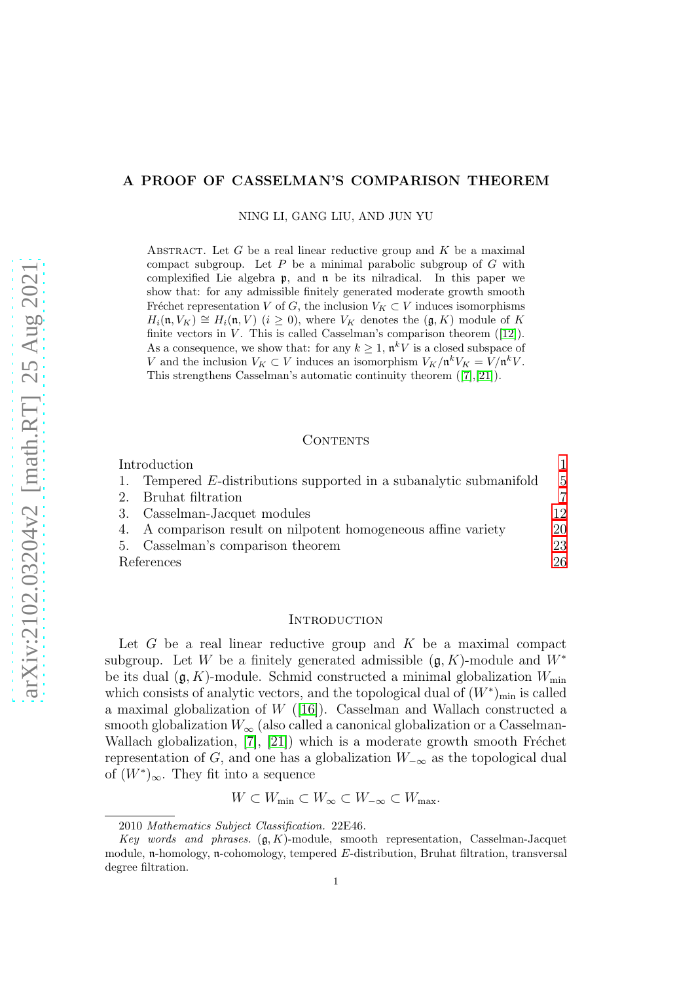# A PROOF OF CASSELMAN'S COMPARISON THEOREM

NING LI, GANG LIU, AND JUN YU

ABSTRACT. Let  $G$  be a real linear reductive group and  $K$  be a maximal compact subgroup. Let  $P$  be a minimal parabolic subgroup of  $G$  with complexified Lie algebra p, and n be its nilradical. In this paper we show that: for any admissible finitely generated moderate growth smooth Fréchet representation V of G, the inclusion  $V_K \subset V$  induces isomorphisms  $H_i(\mathfrak{n}, V_K) \cong H_i(\mathfrak{n}, V)$  ( $i \geq 0$ ), where  $V_K$  denotes the  $(\mathfrak{g}, K)$  module of K finite vectors in  $V$ . This is called Casselman's comparison theorem ([\[12\]](#page-26-0)). As a consequence, we show that: for any  $k \geq 1$ ,  $\mathfrak{n}^k V$  is a closed subspace of V and the inclusion  $V_K \subset V$  induces an isomorphism  $V_K/\mathfrak{n}^k V_K = V/\mathfrak{n}^k V$ . This strengthens Casselman's automatic continuity theorem ([\[7\]](#page-25-0),[\[21\]](#page-26-1)).

### CONTENTS

| Introduction                                                    |                |
|-----------------------------------------------------------------|----------------|
| Tempered E-distributions supported in a subanalytic submanifold | $\overline{5}$ |
| 2. Bruhat filtration                                            | 7              |
| Casselman-Jacquet modules                                       | 12             |
| A comparison result on nilpotent homogeneous affine variety     | 20             |
| 5. Casselman's comparison theorem                               | 23             |
| References                                                      | 26             |

# <span id="page-0-0"></span>**INTRODUCTION**

Let  $G$  be a real linear reductive group and  $K$  be a maximal compact subgroup. Let W be a finitely generated admissible  $(\mathfrak{g}, K)$ -module and  $W^*$ be its dual  $(\mathfrak{g}, K)$ -module. Schmid constructed a minimal globalization  $W_{\text{min}}$ which consists of analytic vectors, and the topological dual of  $(W^*)_{min}$  is called a maximal globalization of  $W$  ([\[16\]](#page-26-2)). Casselman and Wallach constructed a smooth globalization  $W_{\infty}$  (also called a canonical globalization or a Casselman-Wallach globalization,  $[7]$ ,  $[21]$ ) which is a moderate growth smooth Fréchet representation of G, and one has a globalization  $W_{-\infty}$  as the topological dual of  $(W^*)_{\infty}$ . They fit into a sequence

 $W \subset W_{\min} \subset W_{\infty} \subset W_{-\infty} \subset W_{\max}$ .

2010 Mathematics Subject Classification. 22E46.

Key words and phrases.  $(g, K)$ -module, smooth representation, Casselman-Jacquet module, n-homology, n-cohomology, tempered E-distribution, Bruhat filtration, transversal degree filtration.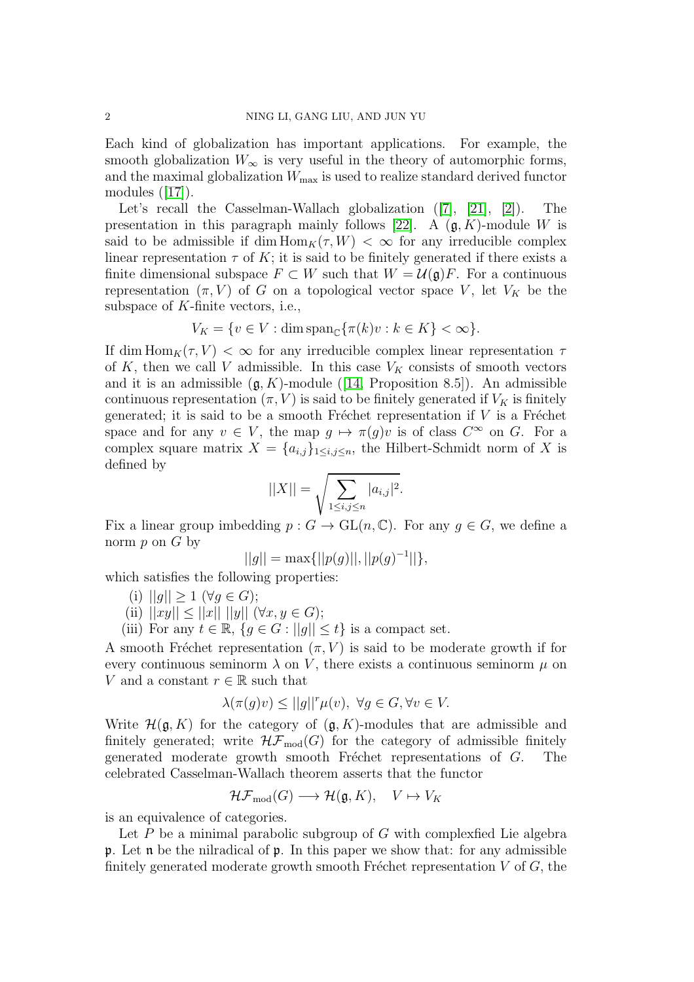Each kind of globalization has important applications. For example, the smooth globalization  $W_{\infty}$  is very useful in the theory of automorphic forms, and the maximal globalization  $W_{\text{max}}$  is used to realize standard derived functor modules ([\[17\]](#page-26-3)).

Let's recall the Casselman-Wallach globalization ([\[7\]](#page-25-0), [\[21\]](#page-26-1), [\[2\]](#page-25-2)). The presentation in this paragraph mainly follows [\[22\]](#page-26-4). A  $(\mathfrak{g}, K)$ -module W is said to be admissible if dim  $\text{Hom}_K(\tau, W) < \infty$  for any irreducible complex linear representation  $\tau$  of K; it is said to be finitely generated if there exists a finite dimensional subspace  $F \subset W$  such that  $W = \mathcal{U}(\mathfrak{g})F$ . For a continuous representation  $(\pi, V)$  of G on a topological vector space V, let  $V_K$  be the subspace of  $K$ -finite vectors, i.e.,

$$
V_K = \{ v \in V : \dim \operatorname{span}_{\mathbb{C}} \{ \pi(k)v : k \in K \} < \infty \}.
$$

If dim  $\text{Hom}_K(\tau, V) < \infty$  for any irreducible complex linear representation  $\tau$ of K, then we call V admissible. In this case  $V_K$  consists of smooth vectors and it is an admissible  $(g, K)$ -module ([\[14,](#page-26-5) Proposition 8.5]). An admissible continuous representation  $(\pi, V)$  is said to be finitely generated if  $V_K$  is finitely generated; it is said to be a smooth Fréchet representation if  $V$  is a Fréchet space and for any  $v \in V$ , the map  $g \mapsto \pi(g)v$  is of class  $C^{\infty}$  on G. For a complex square matrix  $X = \{a_{i,j}\}_{1 \leq i,j \leq n}$ , the Hilbert-Schmidt norm of X is defined by

$$
||X|| = \sqrt{\sum_{1 \le i,j \le n} |a_{i,j}|^2}.
$$

Fix a linear group imbedding  $p : G \to GL(n, \mathbb{C})$ . For any  $g \in G$ , we define a norm  $p$  on  $G$  by

$$
||g|| = \max{||p(g)||, ||p(g)^{-1}||},
$$

which satisfies the following properties:

- (i)  $||g|| \ge 1 \ (\forall g \in G);$
- (ii)  $||xy|| \le ||x|| \, ||y|| \, (\forall x, y \in G);$
- (iii) For any  $t \in \mathbb{R}$ ,  $\{g \in G : ||g|| \le t\}$  is a compact set.

A smooth Fréchet representation  $(\pi, V)$  is said to be moderate growth if for every continuous seminorm  $\lambda$  on V, there exists a continuous seminorm  $\mu$  on V and a constant  $r \in \mathbb{R}$  such that

$$
\lambda(\pi(g)v) \le ||g||^r \mu(v), \ \forall g \in G, \forall v \in V.
$$

Write  $\mathcal{H}(\mathfrak{g}, K)$  for the category of  $(\mathfrak{g}, K)$ -modules that are admissible and finitely generated; write  $H\mathcal{F}_{\text{mod}}(G)$  for the category of admissible finitely generated moderate growth smooth Fréchet representations of  $G$ . The celebrated Casselman-Wallach theorem asserts that the functor

$$
\mathcal{HF}_{\text{mod}}(G) \longrightarrow \mathcal{H}(\mathfrak{g}, K), \quad V \mapsto V_K
$$

is an equivalence of categories.

Let  $P$  be a minimal parabolic subgroup of  $G$  with complexfied Lie algebra p. Let  $\mathfrak n$  be the nilradical of  $\mathfrak p$ . In this paper we show that: for any admissible finitely generated moderate growth smooth Fréchet representation  $V$  of  $G$ , the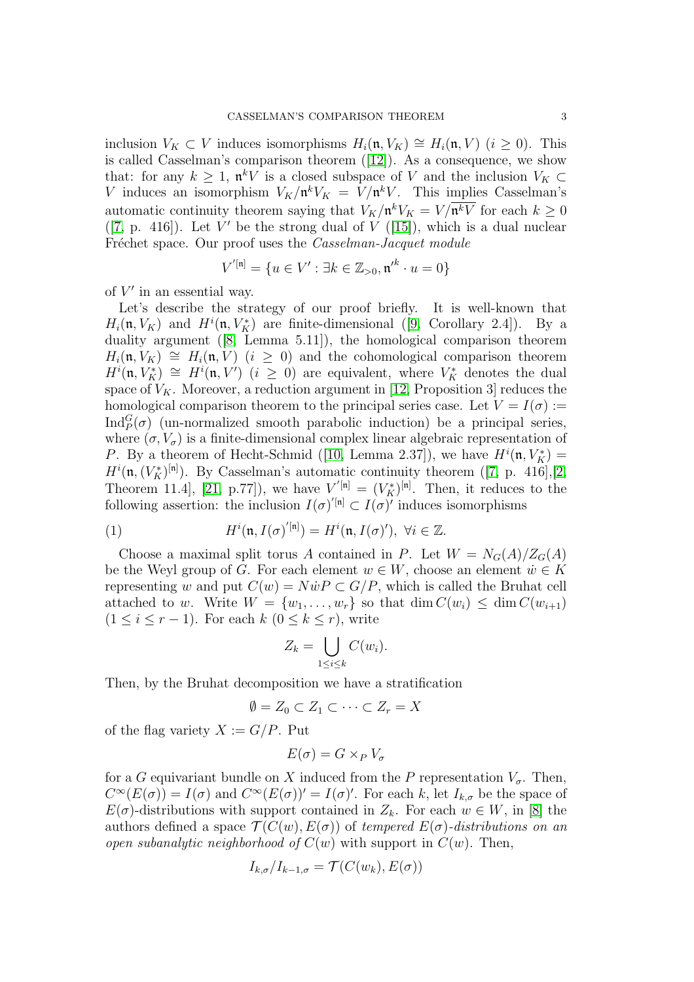inclusion  $V_K \subset V$  induces isomorphisms  $H_i(\mathfrak{n}, V_K) \cong H_i(\mathfrak{n}, V)$   $(i \geq 0)$ . This is called Casselman's comparison theorem ([\[12\]](#page-26-0)). As a consequence, we show that: for any  $k \geq 1$ ,  $\mathfrak{n}^k V$  is a closed subspace of V and the inclusion  $V_K \subset$ V induces an isomorphism  $V_K/\mathfrak{n}^k V_K = V/\mathfrak{n}^k V$ . This implies Casselman's automatic continuity theorem saying that  $V_K/\mathfrak{n}^k V_K = V/\overline{\mathfrak{n}^k V}$  for each  $k \geq 0$  $([7, p. 416])$  $([7, p. 416])$  $([7, p. 416])$ . Let V' be the strong dual of V  $([15])$  $([15])$  $([15])$ , which is a dual nuclear Fréchet space. Our proof uses the Casselman-Jacquet module

$$
V^{'[n]} = \{ u \in V' : \exists k \in \mathbb{Z}_{>0}, \mathfrak{n'}^k \cdot u = 0 \}
$$

of  $V'$  in an essential way.

Let's describe the strategy of our proof briefly. It is well-known that  $H_i(\mathfrak{n}, V_K)$  and  $H^i(\mathfrak{n}, V_K^*)$  are finite-dimensional ([\[9,](#page-26-7) Corollary 2.4]). By a duality argument ([\[8,](#page-26-8) Lemma 5.11]), the homological comparison theorem  $H_i(\mathfrak{n}, V_K) \cong H_i(\mathfrak{n}, V)$   $(i \geq 0)$  and the cohomological comparison theorem  $H^{i}(\mathfrak{n}, V_K^*) \cong H^{i}(\mathfrak{n}, V')$   $(i \geq 0)$  are equivalent, where  $V_K^*$  denotes the dual space of  $V_K$ . Moreover, a reduction argument in [\[12,](#page-26-0) Proposition 3] reduces the homological comparison theorem to the principal series case. Let  $V = I(\sigma) :=$  $\text{Ind}_{P}^{G}(\sigma)$  (un-normalized smooth parabolic induction) be a principal series, where  $(\sigma, V_{\sigma})$  is a finite-dimensional complex linear algebraic representation of P. By a theorem of Hecht-Schmid ([\[10,](#page-26-9) Lemma 2.37]), we have  $H^{i}(\mathfrak{n}, V_K^*) =$  $H^i(\mathfrak{n},(V_K^*)^{[\mathfrak{n}]})$ . By Casselman's automatic continuity theorem ([\[7,](#page-25-0) p. 416],[\[2,](#page-25-2) Theorem 11.4, [\[21,](#page-26-1) p.77]), we have  $V^{'[n]} = (V_K^*)^{[n]}$ . Then, it reduces to the following assertion: the inclusion  $I(\sigma)^{'}[n] \subset I(\sigma)^{'}$  induces isomorphisms

<span id="page-2-0"></span>(1) 
$$
H^{i}(\mathfrak{n}, I(\sigma)^{'[\mathfrak{n}]}) = H^{i}(\mathfrak{n}, I(\sigma)^{'}) , \ \forall i \in \mathbb{Z}.
$$

Choose a maximal split torus A contained in P. Let  $W = N_G(A)/Z_G(A)$ be the Weyl group of G. For each element  $w \in W$ , choose an element  $\dot{w} \in K$ representing w and put  $C(w) = N\dot{w}P \subset G/P$ , which is called the Bruhat cell attached to w. Write  $W = \{w_1, \ldots, w_r\}$  so that  $\dim C(w_i) \leq \dim C(w_{i+1})$  $(1 \leq i \leq r-1)$ . For each  $k$   $(0 \leq k \leq r)$ , write

$$
Z_k = \bigcup_{1 \le i \le k} C(w_i).
$$

Then, by the Bruhat decomposition we have a stratification

$$
\emptyset = Z_0 \subset Z_1 \subset \cdots \subset Z_r = X
$$

of the flag variety  $X := G/P$ . Put

$$
E(\sigma) = G \times_P V_{\sigma}
$$

for a G equivariant bundle on X induced from the P representation  $V_{\sigma}$ . Then,  $C^{\infty}(E(\sigma)) = I(\sigma)$  and  $C^{\infty}(E(\sigma))' = I(\sigma)'$ . For each k, let  $I_{k,\sigma}$  be the space of  $E(\sigma)$ -distributions with support contained in  $Z_k$ . For each  $w \in W$ , in [\[8\]](#page-26-8) the authors defined a space  $\mathcal{T}(C(w), E(\sigma))$  of tempered  $E(\sigma)$ -distributions on an open subanalytic neighborhood of  $C(w)$  with support in  $C(w)$ . Then,

$$
I_{k,\sigma}/I_{k-1,\sigma} = \mathcal{T}(C(w_k), E(\sigma))
$$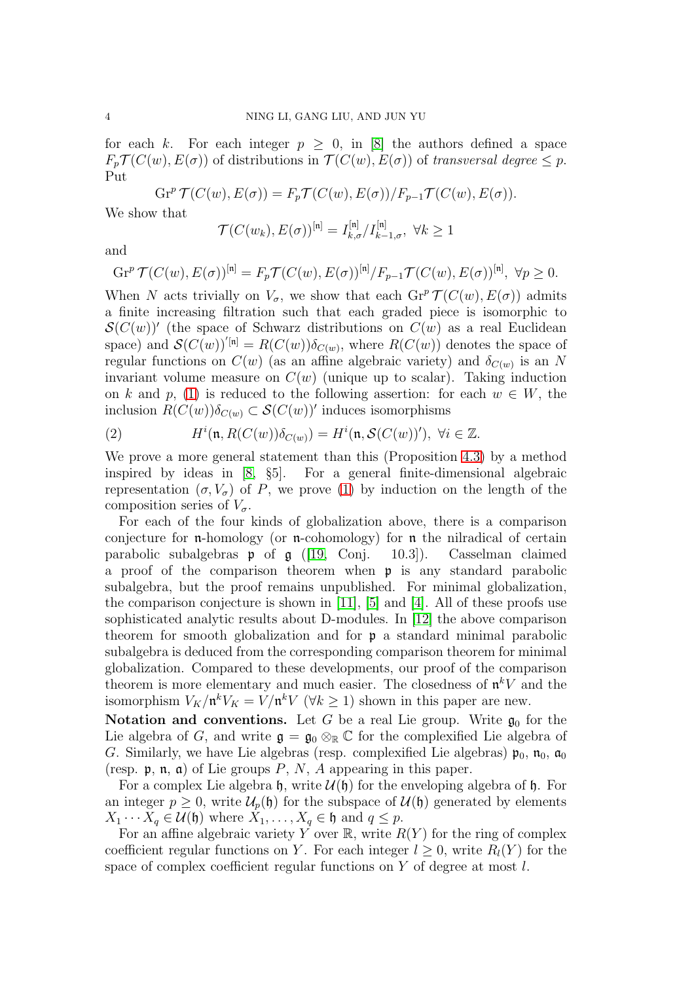for each k. For each integer  $p \geq 0$ , in [\[8\]](#page-26-8) the authors defined a space  $F_p \mathcal{T}(C(w), E(\sigma))$  of distributions in  $\mathcal{T}(C(w), E(\sigma))$  of transversal degree  $\leq p$ . Put

$$
\operatorname{Gr}^p \mathcal{T}(C(w), E(\sigma)) = F_p \mathcal{T}(C(w), E(\sigma)) / F_{p-1} \mathcal{T}(C(w), E(\sigma)).
$$

We show that

$$
\mathcal{T}(C(w_k), E(\sigma))^{\left[n\right]} = I_{k,\sigma}^{\left[n\right]} / I_{k-1,\sigma}^{\left[n\right]}, \ \forall k \ge 1
$$

and

$$
\operatorname{Gr}^p \mathcal{T}(C(w), E(\sigma))^{\left[n\right]} = F_p \mathcal{T}(C(w), E(\sigma))^{\left[n\right]} / F_{p-1} \mathcal{T}(C(w), E(\sigma))^{\left[n\right]}, \ \forall p \ge 0.
$$

When N acts trivially on  $V_{\sigma}$ , we show that each  $\mathrm{Gr}^p \mathcal{T}(C(w), E(\sigma))$  admits a finite increasing filtration such that each graded piece is isomorphic to  $\mathcal{S}(C(w))'$  (the space of Schwarz distributions on  $C(w)$  as a real Euclidean space) and  $\mathcal{S}(C(w))^{[n]} = R(C(w))\delta_{C(w)}$ , where  $R(C(w))$  denotes the space of regular functions on  $C(w)$  (as an affine algebraic variety) and  $\delta_{C(w)}$  is an N invariant volume measure on  $C(w)$  (unique up to scalar). Taking induction on k and p, [\(1\)](#page-2-0) is reduced to the following assertion: for each  $w \in W$ , the inclusion  $R(C(w))\delta_{C(w)} \subset \mathcal{S}(C(w))'$  induces isomorphisms

(2) 
$$
H^{i}(\mathfrak{n}, R(C(w))\delta_{C(w)}) = H^{i}(\mathfrak{n}, \mathcal{S}(C(w))'), \ \forall i \in \mathbb{Z}.
$$

We prove a more general statement than this (Proposition [4.3\)](#page-21-0) by a method inspired by ideas in [\[8,](#page-26-8) §5]. For a general finite-dimensional algebraic representation  $(\sigma, V_{\sigma})$  of P, we prove [\(1\)](#page-2-0) by induction on the length of the composition series of  $V_{\sigma}$ .

For each of the four kinds of globalization above, there is a comparison conjecture for n-homology (or n-cohomology) for n the nilradical of certain parabolic subalgebras  $\mathfrak p$  of  $\mathfrak g$  ([\[19,](#page-26-10) Conj. 10.3]). Casselman claimed a proof of the comparison theorem when p is any standard parabolic subalgebra, but the proof remains unpublished. For minimal globalization, the comparison conjecture is shown in [\[11\]](#page-26-11), [\[5\]](#page-25-3) and [\[4\]](#page-25-4). All of these proofs use sophisticated analytic results about D-modules. In [\[12\]](#page-26-0) the above comparison theorem for smooth globalization and for p a standard minimal parabolic subalgebra is deduced from the corresponding comparison theorem for minimal globalization. Compared to these developments, our proof of the comparison theorem is more elementary and much easier. The closedness of  $\mathfrak{n}^k V$  and the isomorphism  $V_K/\mathfrak{n}^k V_K = V/\mathfrak{n}^k V$  ( $\forall k \geq 1$ ) shown in this paper are new.

**Notation and conventions.** Let G be a real Lie group. Write  $\mathfrak{g}_0$  for the Lie algebra of G, and write  $\mathfrak{g} = \mathfrak{g}_0 \otimes_{\mathbb{R}} \mathbb{C}$  for the complexified Lie algebra of G. Similarly, we have Lie algebras (resp. complexified Lie algebras)  $\mathfrak{p}_0$ ,  $\mathfrak{n}_0$ ,  $\mathfrak{a}_0$ (resp.  $\mathfrak{p}, \mathfrak{n}, \mathfrak{a}$ ) of Lie groups P, N, A appearing in this paper.

For a complex Lie algebra  $\mathfrak{h}$ , write  $\mathcal{U}(\mathfrak{h})$  for the enveloping algebra of  $\mathfrak{h}$ . For an integer  $p \geq 0$ , write  $\mathcal{U}_p(\mathfrak{h})$  for the subspace of  $\mathcal{U}(\mathfrak{h})$  generated by elements  $X_1 \cdots X_q \in \mathcal{U}(\mathfrak{h})$  where  $X_1, \ldots, X_q \in \mathfrak{h}$  and  $q \leq p$ .

For an affine algebraic variety Y over  $\mathbb{R}$ , write  $R(Y)$  for the ring of complex coefficient regular functions on Y. For each integer  $l > 0$ , write  $R_l(Y)$  for the space of complex coefficient regular functions on Y of degree at most l.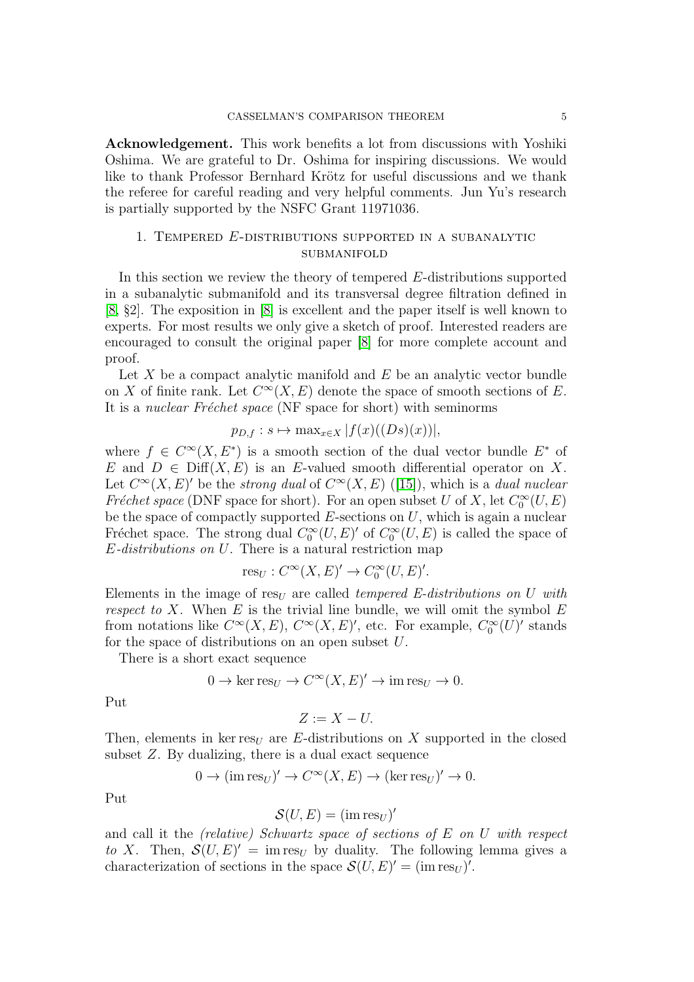Acknowledgement. This work benefits a lot from discussions with Yoshiki Oshima. We are grateful to Dr. Oshima for inspiring discussions. We would like to thank Professor Bernhard Krötz for useful discussions and we thank the referee for careful reading and very helpful comments. Jun Yu's research is partially supported by the NSFC Grant 11971036.

# <span id="page-4-0"></span>1. Tempered E-distributions supported in a subanalytic **SUBMANIFOLD**

In this section we review the theory of tempered E-distributions supported in a subanalytic submanifold and its transversal degree filtration defined in [\[8,](#page-26-8) §2]. The exposition in [\[8\]](#page-26-8) is excellent and the paper itself is well known to experts. For most results we only give a sketch of proof. Interested readers are encouraged to consult the original paper [\[8\]](#page-26-8) for more complete account and proof.

Let  $X$  be a compact analytic manifold and  $E$  be an analytic vector bundle on X of finite rank. Let  $C^{\infty}(X, E)$  denote the space of smooth sections of E. It is a *nuclear Fréchet space* (NF space for short) with seminorms

$$
p_{D,f}: s \mapsto \max_{x \in X} |f(x)((Ds)(x))|,
$$

where  $f \in C^{\infty}(X, E^*)$  is a smooth section of the dual vector bundle  $E^*$  of E and  $D \in \text{Diff}(X, E)$  is an E-valued smooth differential operator on X. Let  $C^{\infty}(X, E)'$  be the strong dual of  $C^{\infty}(X, E)$  ([\[15\]](#page-26-6)), which is a dual nuclear Fréchet space (DNF space for short). For an open subset U of X, let  $C_0^{\infty}(U, E)$ be the space of compactly supported  $E$ -sections on  $U$ , which is again a nuclear Fréchet space. The strong dual  $C_0^{\infty}(U, E)'$  of  $C_0^{\infty}(U, E)$  is called the space of E-distributions on U. There is a natural restriction map

$$
\text{res}_U:C^\infty(X,E)'\to C^\infty_0(U,E)'.
$$

Elements in the image of res<sub>U</sub> are called *tempered E-distributions on U with* respect to X. When  $E$  is the trivial line bundle, we will omit the symbol  $E$ from notations like  $C^{\infty}(X, E)$ ,  $C^{\infty}(X, E)'$ , etc. For example,  $C_0^{\infty}(U)'$  stands for the space of distributions on an open subset U.

There is a short exact sequence

$$
0 \to \ker \operatorname{res}_{U} \to C^{\infty}(X, E)' \to \operatorname{im} \operatorname{res}_{U} \to 0.
$$

Put

$$
Z:=X-U.
$$

Then, elements in ker res<sub>U</sub> are E-distributions on X supported in the closed subset Z. By dualizing, there is a dual exact sequence

$$
0 \to (\text{im res}_U)' \to C^{\infty}(X, E) \to (\text{ker res}_U)' \to 0.
$$

Put

$$
\mathcal{S}(U, E) = (\text{im} \operatorname{res}_U)'
$$

and call it the (relative) Schwartz space of sections of E on U with respect to X. Then,  $\mathcal{S}(U, E)' = \text{im} \text{res}_U$  by duality. The following lemma gives a characterization of sections in the space  $\mathcal{S}(U, E)' = (\text{im} \operatorname{res}_U)'$ .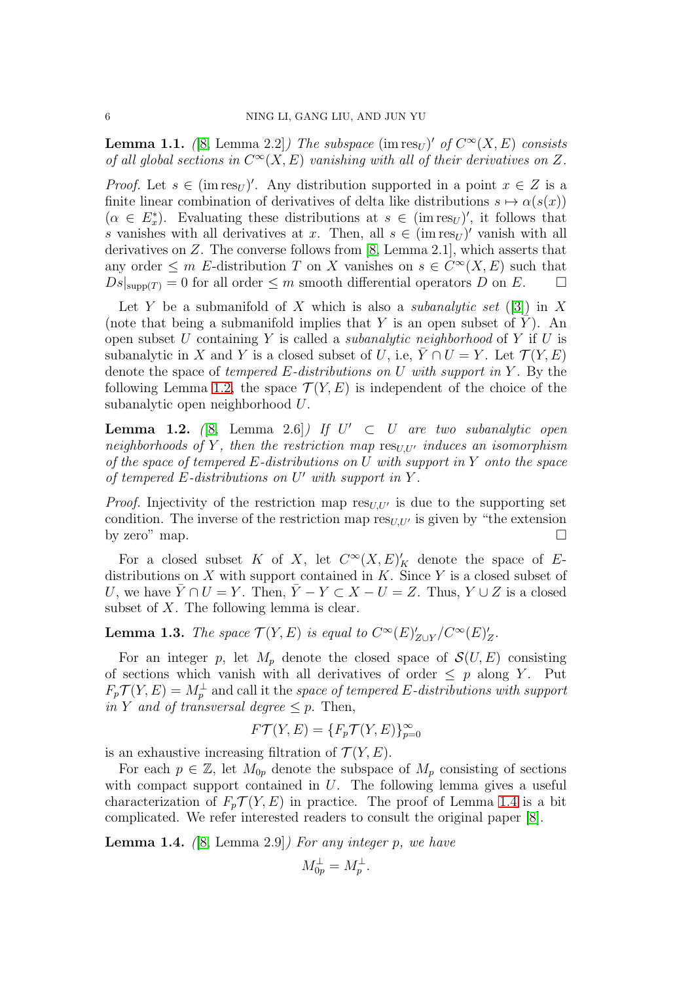<span id="page-5-2"></span>**Lemma 1.1.** ([\[8,](#page-26-8) Lemma 2.2]) The subspace  $(\text{im} \text{res}_U)'$  of  $C^{\infty}(X, E)$  consists of all global sections in  $C^{\infty}(X, E)$  vanishing with all of their derivatives on Z.

*Proof.* Let  $s \in (\text{im} \text{res}_U)'$ . Any distribution supported in a point  $x \in Z$  is a finite linear combination of derivatives of delta like distributions  $s \mapsto \alpha(s(x))$  $(\alpha \in E^*_x)$ . Evaluating these distributions at  $s \in (\text{im} \text{ res}_U)'$ , it follows that s vanishes with all derivatives at x. Then, all  $s \in (\text{im} \text{res}_U)'$  vanish with all derivatives on Z. The converse follows from [\[8,](#page-26-8) Lemma 2.1], which asserts that any order  $\leq m$  E-distribution T on X vanishes on  $s \in C^{\infty}(X, E)$  such that  $Ds|_{\text{supp}(T)} = 0$  for all order  $\leq m$  smooth differential operators D on E.

Let Y be a submanifold of X which is also a *subanalytic set* ([\[3\]](#page-25-5)) in X (note that being a submanifold implies that Y is an open subset of Y). An open subset  $U$  containing  $Y$  is called a *subanalytic neighborhood* of  $Y$  if  $U$  is subanalytic in X and Y is a closed subset of U, i.e,  $\overline{Y} \cap U = Y$ . Let  $\mathcal{T}(Y, E)$ denote the space of tempered  $E$ -distributions on U with support in Y. By the following Lemma [1.2,](#page-5-0) the space  $\mathcal{T}(Y, E)$  is independent of the choice of the subanalytic open neighborhood U.

<span id="page-5-0"></span>**Lemma 1.2.** ([\[8,](#page-26-8) Lemma 2.6]) If  $U' \subset U$  are two subanalytic open neighborhoods of Y, then the restriction map  $\text{res}_{U,U'}$  induces an isomorphism of the space of tempered E-distributions on U with support in Y onto the space of tempered E-distributions on U' with support in Y.

*Proof.* Injectivity of the restriction map  $res_{U,U'}$  is due to the supporting set condition. The inverse of the restriction map  $res_{U, U'}$  is given by "the extension by zero" map.  $\Box$ 

For a closed subset K of X, let  $C^{\infty}(X, E)'_K$  denote the space of Edistributions on X with support contained in  $K$ . Since Y is a closed subset of U, we have  $\overline{Y} \cap U = Y$ . Then,  $\overline{Y} - Y \subset X - U = Z$ . Thus,  $Y \cup Z$  is a closed subset of  $X$ . The following lemma is clear.

<span id="page-5-3"></span>**Lemma 1.3.** The space  $\mathcal{T}(Y, E)$  is equal to  $C^{\infty}(E)'_{Z\cup Y}/C^{\infty}(E)'_Z$ .

For an integer p, let  $M_p$  denote the closed space of  $\mathcal{S}(U, E)$  consisting of sections which vanish with all derivatives of order  $\leq p$  along Y. Put  $F_p \mathcal{T}(Y, E) = M_p^{\perp}$  and call it the space of tempered E-distributions with support in Y and of transversal degree  $\leq p$ . Then,

$$
F\mathcal{T}(Y,E) = \{F_p\mathcal{T}(Y,E)\}_{p=0}^{\infty}
$$

is an exhaustive increasing filtration of  $\mathcal{T}(Y, E)$ .

For each  $p \in \mathbb{Z}$ , let  $M_{0p}$  denote the subspace of  $M_p$  consisting of sections with compact support contained in  $U$ . The following lemma gives a useful characterization of  $F_p \mathcal{T}(Y, E)$  in practice. The proof of Lemma [1.4](#page-5-1) is a bit complicated. We refer interested readers to consult the original paper [\[8\]](#page-26-8).

<span id="page-5-1"></span>**Lemma 1.4.** ([\[8,](#page-26-8) Lemma 2.9]) For any integer p, we have

$$
M_{0p}^{\perp} = M_p^{\perp}.
$$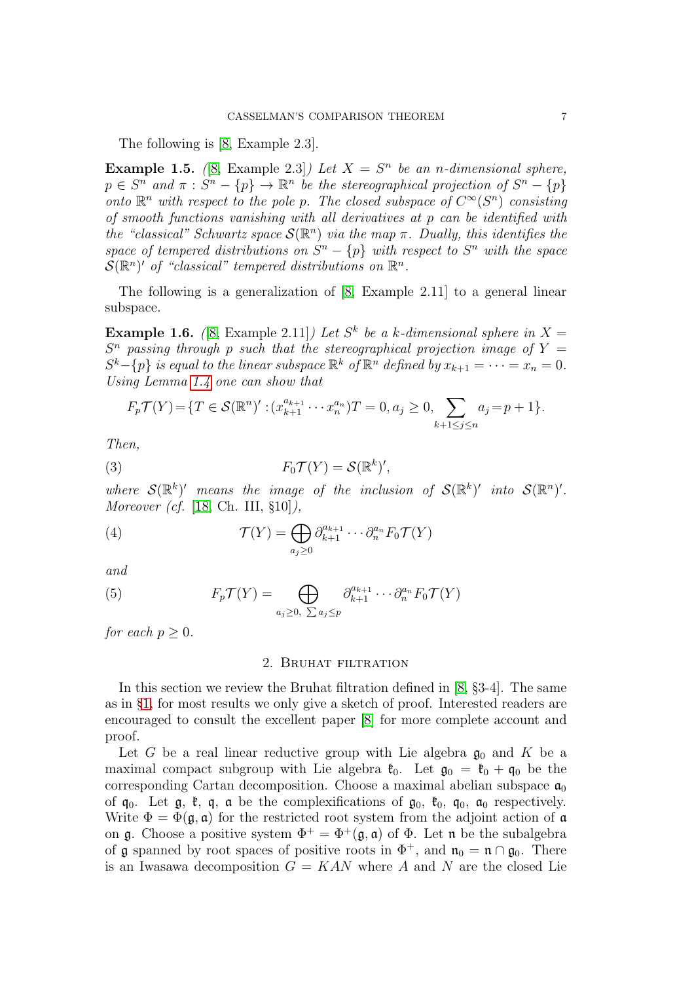The following is [\[8,](#page-26-8) Example 2.3].

**Example 1.5.** ([\[8,](#page-26-8) Example 2.3]) Let  $X = S^n$  be an n-dimensional sphere,  $p \in S^n$  and  $\pi : S^n - \{p\} \to \mathbb{R}^n$  be the stereographical projection of  $S^n - \{p\}$ onto  $\mathbb{R}^n$  with respect to the pole p. The closed subspace of  $C^{\infty}(S^n)$  consisting of smooth functions vanishing with all derivatives at p can be identified with the "classical" Schwartz space  $\mathcal{S}(\mathbb{R}^n)$  via the map  $\pi$ . Dually, this identifies the space of tempered distributions on  $S<sup>n</sup> - {p}$  with respect to  $S<sup>n</sup>$  with the space  $\mathcal{S}(\mathbb{R}^n)'$  of "classical" tempered distributions on  $\mathbb{R}^n$ .

The following is a generalization of [\[8,](#page-26-8) Example 2.11] to a general linear subspace.

**Example 1.6.** ([\[8,](#page-26-8) Example 2.11]) Let  $S^k$  be a k-dimensional sphere in  $X =$  $S<sup>n</sup>$  passing through p such that the stereographical projection image of Y =  $S^k - \{p\}$  is equal to the linear subspace  $\mathbb{R}^k$  of  $\mathbb{R}^n$  defined by  $x_{k+1} = \cdots = x_n = 0$ . Using Lemma [1.4](#page-5-1) one can show that

<span id="page-6-1"></span>
$$
F_p \mathcal{T}(Y) = \{ T \in \mathcal{S}(\mathbb{R}^n)' : (x_{k+1}^{a_{k+1}} \cdots x_n^{a_n}) T = 0, a_j \ge 0, \sum_{k+1 \le j \le n} a_j = p+1 \}.
$$

Then,

(3) 
$$
F_0 \mathcal{T}(Y) = \mathcal{S}(\mathbb{R}^k)'
$$

where  $\mathcal{S}(\mathbb{R}^k)'$  means the image of the inclusion of  $\mathcal{S}(\mathbb{R}^k)'$  into  $\mathcal{S}(\mathbb{R}^n)'$ . Moreover (cf. [\[18,](#page-26-12) Ch. III, §10]),

<span id="page-6-3"></span>(4) 
$$
\mathcal{T}(Y) = \bigoplus_{a_j \geq 0} \partial_{k+1}^{a_{k+1}} \cdots \partial_n^{a_n} F_0 \mathcal{T}(Y)
$$

and

(5) 
$$
F_p \mathcal{T}(Y) = \bigoplus_{a_j \geq 0, \ \sum a_j \leq p} \partial_{k+1}^{a_{k+1}} \cdots \partial_n^{a_n} F_0 \mathcal{T}(Y)
$$

<span id="page-6-0"></span>for each  $p > 0$ .

## <span id="page-6-2"></span>2. Bruhat filtration

In this section we review the Bruhat filtration defined in [\[8,](#page-26-8) §3-4]. The same as in §[1,](#page-4-0) for most results we only give a sketch of proof. Interested readers are encouraged to consult the excellent paper [\[8\]](#page-26-8) for more complete account and proof.

Let G be a real linear reductive group with Lie algebra  $\mathfrak{g}_0$  and K be a maximal compact subgroup with Lie algebra  $\mathfrak{k}_0$ . Let  $\mathfrak{g}_0 = \mathfrak{k}_0 + \mathfrak{q}_0$  be the corresponding Cartan decomposition. Choose a maximal abelian subspace  $\mathfrak{a}_0$ of  $\mathfrak{q}_0$ . Let  $\mathfrak{g}_1$ ,  $\mathfrak{k}_2$ ,  $\mathfrak{q}_3$  as the complexifications of  $\mathfrak{g}_0$ ,  $\mathfrak{k}_0$ ,  $\mathfrak{q}_0$ ,  $\mathfrak{a}_0$  respectively. Write  $\Phi = \Phi(\mathfrak{g}, \mathfrak{a})$  for the restricted root system from the adjoint action of  $\mathfrak{a}$ on **g**. Choose a positive system  $\Phi^+ = \Phi^+(\mathfrak{g}, \mathfrak{a})$  of  $\Phi$ . Let **n** be the subalgebra of g spanned by root spaces of positive roots in  $\Phi^+$ , and  $\mathfrak{n}_0 = \mathfrak{n} \cap \mathfrak{g}_0$ . There is an Iwasawa decomposition  $G = KAN$  where A and N are the closed Lie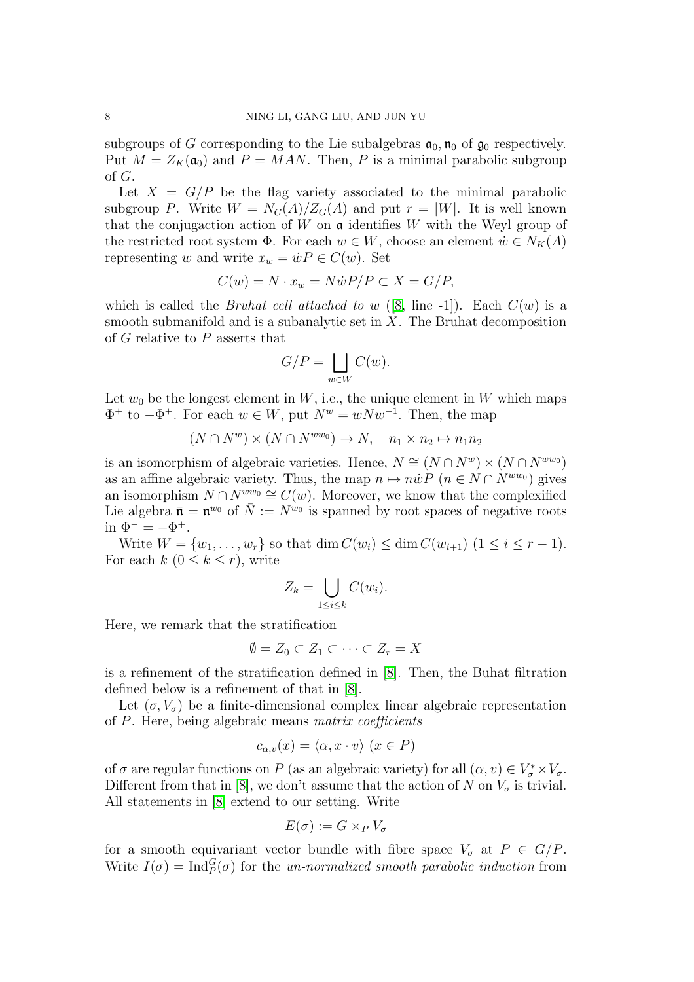subgroups of G corresponding to the Lie subalgebras  $a_0$ ,  $n_0$  of  $g_0$  respectively. Put  $M = Z_K(\mathfrak{a}_0)$  and  $P = MAN$ . Then, P is a minimal parabolic subgroup of G.

Let  $X = G/P$  be the flag variety associated to the minimal parabolic subgroup P. Write  $W = N_G(A)/Z_G(A)$  and put  $r = |W|$ . It is well known that the conjugaction action of  $W$  on  $\mathfrak a$  identifies  $W$  with the Weyl group of the restricted root system  $\Phi$ . For each  $w \in W$ , choose an element  $\dot{w} \in N_K(A)$ representing w and write  $x_w = \dot{w}P \in C(w)$ . Set

$$
C(w) = N \cdot x_w = N \dot{w} P / P \subset X = G / P,
$$

which is called the *Bruhat cell attached to w* ([\[8,](#page-26-8) line -1]). Each  $C(w)$  is a smooth submanifold and is a subanalytic set in  $X$ . The Bruhat decomposition of G relative to P asserts that

$$
G/P = \bigsqcup_{w \in W} C(w).
$$

Let  $w_0$  be the longest element in W, i.e., the unique element in W which maps  $\Phi^+$  to  $-\Phi^+$ . For each  $w \in W$ , put  $N^w = w N w^{-1}$ . Then, the map

$$
(N \cap N^w) \times (N \cap N^{ww_0}) \to N, \quad n_1 \times n_2 \mapsto n_1 n_2
$$

is an isomorphism of algebraic varieties. Hence,  $N \cong (N \cap N^w) \times (N \cap N^{ww_0})$ as an affine algebraic variety. Thus, the map  $n \mapsto n\dot{w}P$   $(n \in N \cap N^{ww_0})$  gives an isomorphism  $N \cap N^{ww_0} \cong C(w)$ . Moreover, we know that the complexified Lie algebra  $\bar{\mathfrak{n}} = \mathfrak{n}^{w_0}$  of  $\bar{N} := N^{w_0}$  is spanned by root spaces of negative roots in  $\Phi^- = -\Phi^+$ .

Write  $W = \{w_1, ..., w_r\}$  so that  $\dim C(w_i) \leq \dim C(w_{i+1})$   $(1 \leq i \leq r - 1)$ . For each  $k$   $(0 \leq k \leq r)$ , write

$$
Z_k = \bigcup_{1 \leq i \leq k} C(w_i).
$$

Here, we remark that the stratification

$$
\emptyset = Z_0 \subset Z_1 \subset \cdots \subset Z_r = X
$$

is a refinement of the stratification defined in [\[8\]](#page-26-8). Then, the Buhat filtration defined below is a refinement of that in [\[8\]](#page-26-8).

Let  $(\sigma, V_{\sigma})$  be a finite-dimensional complex linear algebraic representation of P. Here, being algebraic means matrix coefficients

$$
c_{\alpha,v}(x) = \langle \alpha, x \cdot v \rangle \ (x \in P)
$$

of  $\sigma$  are regular functions on P (as an algebraic variety) for all  $(\alpha, v) \in V^*_{\sigma} \times V_{\sigma}$ . Different from that in [\[8\]](#page-26-8), we don't assume that the action of N on  $V_{\sigma}$  is trivial. All statements in [\[8\]](#page-26-8) extend to our setting. Write

$$
E(\sigma) := G \times_P V_{\sigma}
$$

for a smooth equivariant vector bundle with fibre space  $V_{\sigma}$  at  $P \in G/P$ . Write  $I(\sigma) = \text{Ind}_{P}^{G}(\sigma)$  for the un-normalized smooth parabolic induction from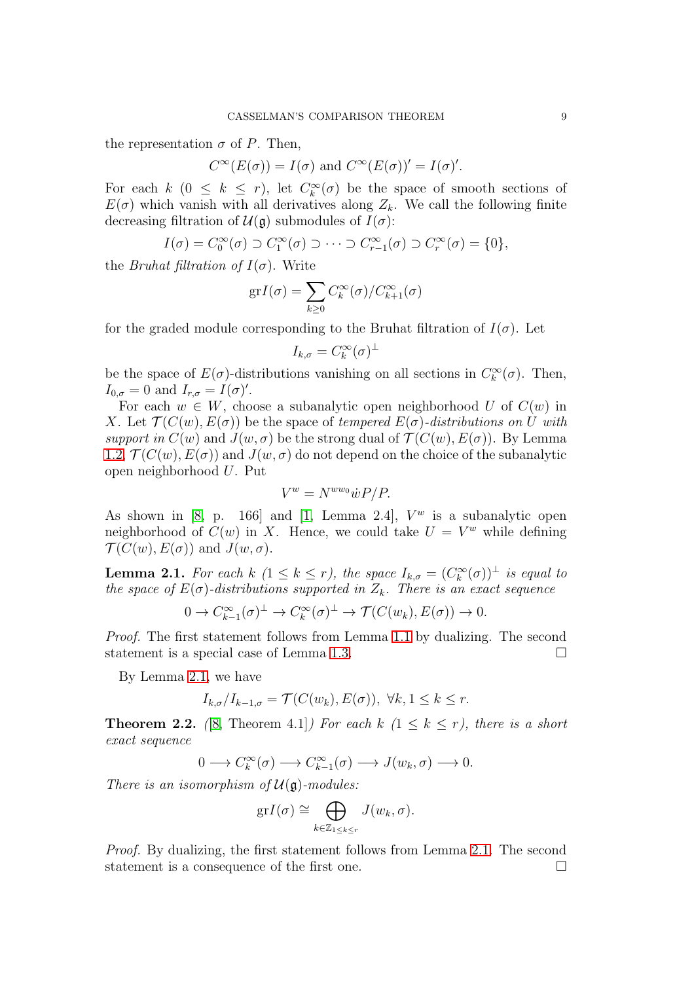the representation  $\sigma$  of P. Then,

$$
C^{\infty}(E(\sigma)) = I(\sigma)
$$
 and  $C^{\infty}(E(\sigma))' = I(\sigma)'$ .

For each  $k$   $(0 \leq k \leq r)$ , let  $C_k^{\infty}(\sigma)$  be the space of smooth sections of  $E(\sigma)$  which vanish with all derivatives along  $Z_k$ . We call the following finite decreasing filtration of  $\mathcal{U}(\mathfrak{g})$  submodules of  $I(\sigma)$ :

$$
I(\sigma) = C_0^{\infty}(\sigma) \supset C_1^{\infty}(\sigma) \supset \cdots \supset C_{r-1}^{\infty}(\sigma) \supset C_r^{\infty}(\sigma) = \{0\},\
$$

the *Bruhat filtration of*  $I(\sigma)$ . Write

$$
grI(\sigma) = \sum_{k \ge 0} C_k^{\infty}(\sigma) / C_{k+1}^{\infty}(\sigma)
$$

for the graded module corresponding to the Bruhat filtration of  $I(\sigma)$ . Let

$$
I_{k,\sigma}=C_k^{\infty}(\sigma)^{\perp}
$$

be the space of  $E(\sigma)$ -distributions vanishing on all sections in  $C_k^{\infty}(\sigma)$ . Then,  $I_{0,\sigma}=0$  and  $I_{r,\sigma}=I(\sigma)'$ .

For each  $w \in W$ , choose a subanalytic open neighborhood U of  $C(w)$  in X. Let  $\mathcal{T}(C(w), E(\sigma))$  be the space of tempered  $E(\sigma)$ -distributions on U with support in  $C(w)$  and  $J(w, \sigma)$  be the strong dual of  $\mathcal{T}(C(w), E(\sigma))$ . By Lemma [1.2,](#page-5-0)  $\mathcal{T}(C(w), E(\sigma))$  and  $J(w, \sigma)$  do not depend on the choice of the subanalytic open neighborhood U. Put

$$
V^w = N^{ww_0} \dot{w} P / P.
$$

As shown in [\[8,](#page-26-8) p. 166] and [\[1,](#page-25-6) Lemma 2.4],  $V^w$  is a subanalytic open neighborhood of  $C(w)$  in X. Hence, we could take  $U = V^w$  while defining  $\mathcal{T}(C(w), E(\sigma))$  and  $J(w, \sigma)$ .

<span id="page-8-0"></span>**Lemma 2.1.** For each  $k$   $(1 \leq k \leq r)$ , the space  $I_{k,\sigma} = (C_k^{\infty}(\sigma))^{\perp}$  is equal to the space of  $E(\sigma)$ -distributions supported in  $Z_k$ . There is an exact sequence

$$
0 \to C_{k-1}^{\infty}(\sigma)^{\perp} \to C_{k}^{\infty}(\sigma)^{\perp} \to \mathcal{T}(C(w_{k}), E(\sigma)) \to 0.
$$

Proof. The first statement follows from Lemma [1.1](#page-5-2) by dualizing. The second statement is a special case of Lemma [1.3.](#page-5-3)

By Lemma [2.1,](#page-8-0) we have

$$
I_{k,\sigma}/I_{k-1,\sigma} = \mathcal{T}(C(w_k), E(\sigma)), \ \forall k, 1 \leq k \leq r.
$$

**Theorem 2.2.** ([\[8,](#page-26-8) Theorem 4.1]) For each k  $(1 \leq k \leq r)$ , there is a short exact sequence

$$
0 \longrightarrow C^{\infty}_{k}(\sigma) \longrightarrow C^{\infty}_{k-1}(\sigma) \longrightarrow J(w_{k}, \sigma) \longrightarrow 0.
$$

There is an isomorphism of  $\mathcal{U}(\mathfrak{g})$ -modules:

$$
\mathrm{gr} I(\sigma) \cong \bigoplus_{k \in \mathbb{Z}_{1 \leq k \leq r}} J(w_k, \sigma).
$$

Proof. By dualizing, the first statement follows from Lemma [2.1.](#page-8-0) The second statement is a consequence of the first one.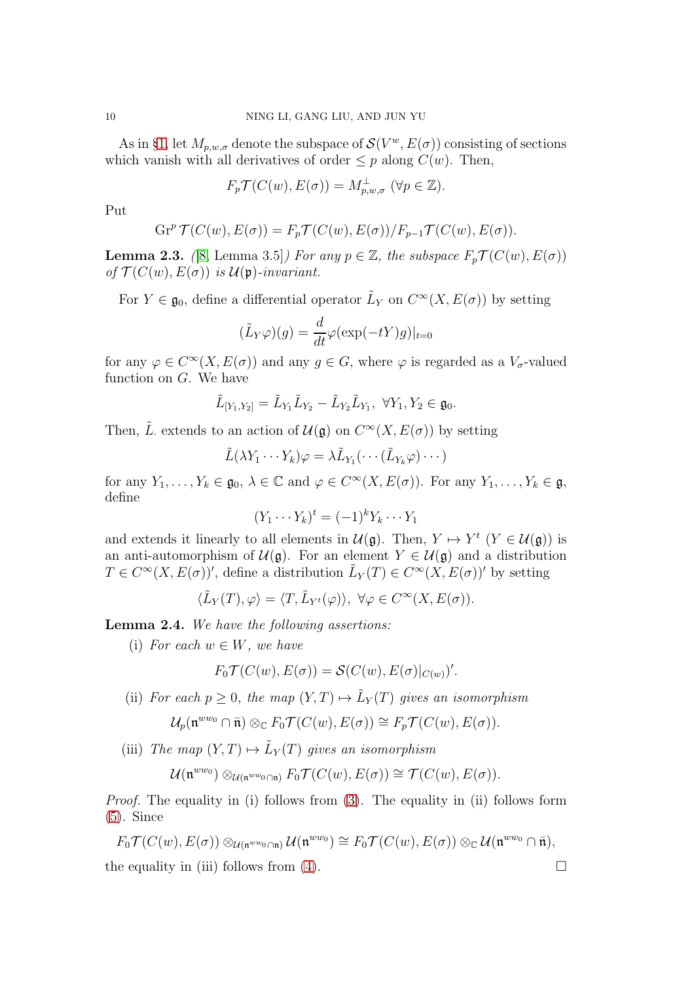As in §[1,](#page-4-0) let  $M_{p,w,\sigma}$  denote the subspace of  $\mathcal{S}(V^w, E(\sigma))$  consisting of sections which vanish with all derivatives of order  $\leq p$  along  $C(w)$ . Then,

$$
F_p \mathcal{T}(C(w), E(\sigma)) = M_{p,w,\sigma}^{\perp} \ (\forall p \in \mathbb{Z}).
$$

Put

$$
\operatorname{Gr}^p \mathcal{T}(C(w), E(\sigma)) = F_p \mathcal{T}(C(w), E(\sigma)) / F_{p-1} \mathcal{T}(C(w), E(\sigma)).
$$

**Lemma 2.3.** ([\[8,](#page-26-8) Lemma 3.5]) For any  $p \in \mathbb{Z}$ , the subspace  $F_p \mathcal{T}(C(w), E(\sigma))$ of  $\mathcal{T}(C(w), E(\sigma))$  is  $\mathcal{U}(\mathfrak{p})$ -invariant.

For  $Y \in \mathfrak{g}_0$ , define a differential operator  $\tilde{L}_Y$  on  $C^{\infty}(X, E(\sigma))$  by setting

$$
(\tilde{L}_Y \varphi)(g) = \frac{d}{dt} \varphi(\exp(-tY)g)|_{t=0}
$$

for any  $\varphi \in C^{\infty}(X, E(\sigma))$  and any  $g \in G$ , where  $\varphi$  is regarded as a  $V_{\sigma}$ -valued function on G. We have

$$
\tilde{L}_{[Y_1,Y_2]} = \tilde{L}_{Y_1}\tilde{L}_{Y_2} - \tilde{L}_{Y_2}\tilde{L}_{Y_1}, \ \forall Y_1, Y_2 \in \mathfrak{g}_0.
$$

Then,  $\tilde{L}$  extends to an action of  $\mathcal{U}(\mathfrak{g})$  on  $C^{\infty}(X, E(\sigma))$  by setting

$$
\tilde{L}(\lambda Y_1 \cdots Y_k)\varphi = \lambda \tilde{L}_{Y_1}(\cdots(\tilde{L}_{Y_k}\varphi)\cdots)
$$

for any  $Y_1, \ldots, Y_k \in \mathfrak{g}_0, \lambda \in \mathbb{C}$  and  $\varphi \in C^{\infty}(X, E(\sigma))$ . For any  $Y_1, \ldots, Y_k \in \mathfrak{g}$ , define

$$
(Y_1 \cdots Y_k)^t = (-1)^k Y_k \cdots Y_1
$$

and extends it linearly to all elements in  $\mathcal{U}(\mathfrak{g})$ . Then,  $Y \mapsto Y^t$   $(Y \in \mathcal{U}(\mathfrak{g}))$  is an anti-automorphism of  $\mathcal{U}(\mathfrak{g})$ . For an element  $Y \in \mathcal{U}(\mathfrak{g})$  and a distribution  $T \in C^{\infty}(X, E(\sigma))'$ , define a distribution  $\tilde{L}_Y(T) \in C^{\infty}(X, E(\sigma))'$  by setting

$$
\langle \tilde{L}_Y(T), \varphi \rangle = \langle T, \tilde{L}_{Y^t}(\varphi) \rangle, \ \forall \varphi \in C^{\infty}(X, E(\sigma)).
$$

<span id="page-9-0"></span>Lemma 2.4. We have the following assertions:

(i) For each  $w \in W$ , we have

$$
F_0 \mathcal{T}(C(w), E(\sigma)) = \mathcal{S}(C(w), E(\sigma)|_{C(w)})'.
$$

(ii) For each  $p \geq 0$ , the map  $(Y,T) \mapsto \tilde{L}_Y(T)$  gives an isomorphism

$$
\mathcal{U}_p(\mathfrak{n}^{ww_0}\cap\bar{\mathfrak{n}})\otimes_{\mathbb{C}} F_0\mathcal{T}(C(w),E(\sigma))\cong F_p\mathcal{T}(C(w),E(\sigma)).
$$

(iii) The map  $(Y,T) \mapsto \tilde{L}_Y(T)$  gives an isomorphism

$$
\mathcal{U}(\mathfrak{n}^{ww_0}) \otimes_{\mathcal{U}(\mathfrak{n}^{ww_0} \cap \mathfrak{n})} F_0 \mathcal{T}(C(w), E(\sigma)) \cong \mathcal{T}(C(w), E(\sigma)).
$$

Proof. The equality in (i) follows from [\(3\)](#page-6-1). The equality in (ii) follows form [\(5\)](#page-6-2). Since

$$
F_0 \mathcal{T}(C(w), E(\sigma)) \otimes_{\mathcal{U}(\mathfrak{n}^{ww_0} \cap \mathfrak{n})} \mathcal{U}(\mathfrak{n}^{ww_0}) \cong F_0 \mathcal{T}(C(w), E(\sigma)) \otimes_{\mathbb{C}} \mathcal{U}(\mathfrak{n}^{ww_0} \cap \bar{\mathfrak{n}}),
$$

the equality in (iii) follows from [\(4\)](#page-6-3).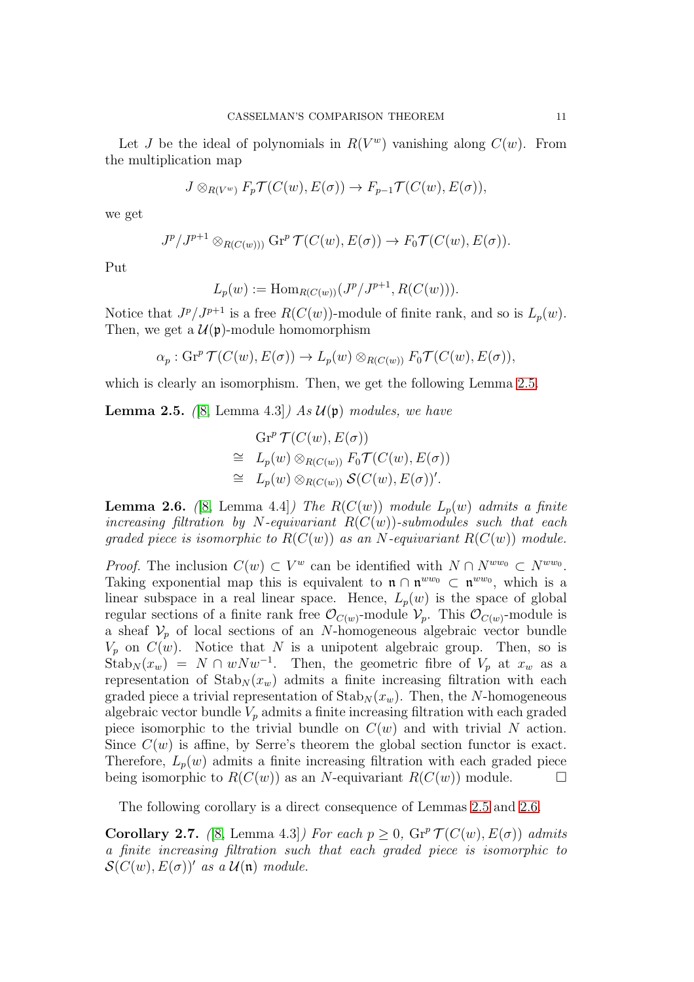Let J be the ideal of polynomials in  $R(V^w)$  vanishing along  $C(w)$ . From the multiplication map

$$
J\otimes_{R(V^w)} F_p \mathcal{T}(C(w), E(\sigma)) \to F_{p-1} \mathcal{T}(C(w), E(\sigma)),
$$

we get

$$
J^{p}/J^{p+1}\otimes_{R(C(w))} \mathrm{Gr}^p \mathcal{T}(C(w), E(\sigma)) \to F_0 \mathcal{T}(C(w), E(\sigma)).
$$

Put

$$
L_p(w) := \text{Hom}_{R(C(w))}(J^p/J^{p+1}, R(C(w))).
$$

Notice that  $J^p/J^{p+1}$  is a free  $R(C(w))$ -module of finite rank, and so is  $L_p(w)$ . Then, we get a  $\mathcal{U}(\mathfrak{p})$ -module homomorphism

$$
\alpha_p : \mathrm{Gr}^p \mathcal{T}(C(w), E(\sigma)) \to L_p(w) \otimes_{R(C(w))} F_0 \mathcal{T}(C(w), E(\sigma)),
$$

which is clearly an isomorphism. Then, we get the following Lemma [2.5.](#page-10-0)

<span id="page-10-0"></span>**Lemma 2.5.** ([\[8,](#page-26-8) Lemma 4.3]) As  $\mathcal{U}(\mathfrak{p})$  modules, we have

$$
Gr^{p} \mathcal{T}(C(w), E(\sigma))
$$
  
\n
$$
\cong L_{p}(w) \otimes_{R(C(w))} F_{0} \mathcal{T}(C(w), E(\sigma))
$$
  
\n
$$
\cong L_{p}(w) \otimes_{R(C(w))} \mathcal{S}(C(w), E(\sigma))'.
$$

<span id="page-10-1"></span>**Lemma 2.6.** ([\[8,](#page-26-8) Lemma 4.4]) The R( $C(w)$ ) module  $L_p(w)$  admits a finite increasing filtration by N-equivariant  $R(C(w))$ -submodules such that each graded piece is isomorphic to  $R(C(w))$  as an N-equivariant  $R(C(w))$  module.

*Proof.* The inclusion  $C(w) \subset V^w$  can be identified with  $N \cap N^{ww_0} \subset N^{ww_0}$ . Taking exponential map this is equivalent to  $\mathfrak{n} \cap \mathfrak{n}^{ww_0} \subset \mathfrak{n}^{ww_0}$ , which is a linear subspace in a real linear space. Hence,  $L_p(w)$  is the space of global regular sections of a finite rank free  $\mathcal{O}_{C(w)}$ -module  $\mathcal{V}_p$ . This  $\mathcal{O}_{C(w)}$ -module is a sheaf  $V_p$  of local sections of an N-homogeneous algebraic vector bundle  $V_p$  on  $C(w)$ . Notice that N is a unipotent algebraic group. Then, so is  $\text{Stab}_N(x_w) = N \cap wNw^{-1}$ . Then, the geometric fibre of  $V_p$  at  $x_w$  as a representation of  $\text{Stab}_N(x_w)$  admits a finite increasing filtration with each graded piece a trivial representation of  $\text{Stab}_N(x_w)$ . Then, the N-homogeneous algebraic vector bundle  $V_p$  admits a finite increasing filtration with each graded piece isomorphic to the trivial bundle on  $C(w)$  and with trivial N action. Since  $C(w)$  is affine, by Serre's theorem the global section functor is exact. Therefore,  $L_p(w)$  admits a finite increasing filtration with each graded piece being isomorphic to  $R(C(w))$  as an N-equivariant  $R(C(w))$  module.

The following corollary is a direct consequence of Lemmas [2.5](#page-10-0) and [2.6.](#page-10-1)

<span id="page-10-2"></span>**Corollary 2.7.** ([\[8,](#page-26-8) Lemma 4.3]) For each  $p \ge 0$ ,  $\text{Gr}^p \mathcal{T}(C(w), E(\sigma))$  admits a finite increasing filtration such that each graded piece is isomorphic to  $\mathcal{S}(C(w), E(\sigma))'$  as a  $\mathcal{U}(\mathfrak{n})$  module.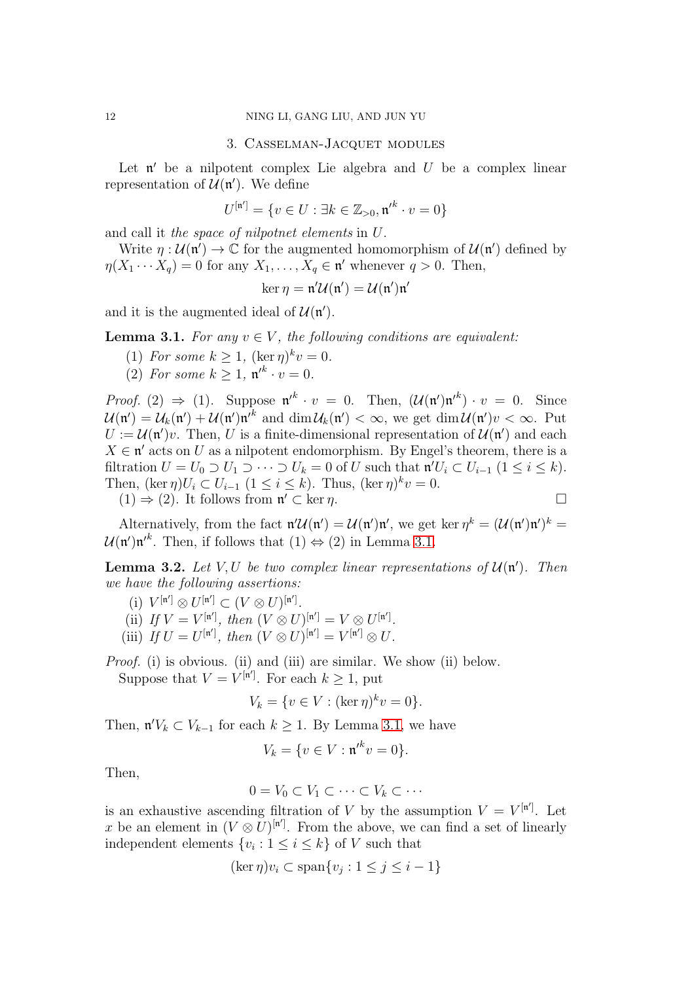#### 3. Casselman-Jacquet modules

<span id="page-11-0"></span>Let  $\mathfrak n'$  be a nilpotent complex Lie algebra and  $U$  be a complex linear representation of  $\mathcal{U}(\mathfrak{n}')$ . We define

$$
U^{[\mathfrak{n}']} = \{ v \in U : \exists k \in \mathbb{Z}_{>0}, {\mathfrak{n}'}^k \cdot v = 0 \}
$$

and call it the space of nilpotnet elements in U.

Write  $\eta : \mathcal{U}(\mathfrak{n}') \to \mathbb{C}$  for the augmented homomorphism of  $\mathcal{U}(\mathfrak{n}')$  defined by  $\eta(X_1 \cdots X_q) = 0$  for any  $X_1, \ldots, X_q \in \mathfrak{n}'$  whenever  $q > 0$ . Then,

$$
\ker \eta = \mathfrak{n}'\mathcal{U}(\mathfrak{n}') = \mathcal{U}(\mathfrak{n}')\mathfrak{n}'
$$

and it is the augmented ideal of  $\mathcal{U}(\mathfrak{n}')$ .

<span id="page-11-1"></span>**Lemma 3.1.** For any  $v \in V$ , the following conditions are equivalent:

- (1) For some  $k \geq 1$ ,  $(\ker \eta)^k v = 0$ .
- (2) For some  $k \geq 1$ ,  $\mathfrak{n'}^k \cdot v = 0$ .

*Proof.* (2)  $\Rightarrow$  (1). Suppose  $\mathfrak{n}'^k \cdot v = 0$ . Then,  $(\mathcal{U}(\mathfrak{n}') \mathfrak{n}'^k) \cdot v = 0$ . Since  $\mathcal{U}(\mathfrak{n}') = \mathcal{U}_k(\mathfrak{n}') + \mathcal{U}(\mathfrak{n}')\mathfrak{n}'^k$  and  $\dim \mathcal{U}_k(\mathfrak{n}') < \infty$ , we get  $\dim \mathcal{U}(\mathfrak{n}')v < \infty$ . Put  $U := \mathcal{U}(\mathfrak{n}')v$ . Then, U is a finite-dimensional representation of  $\mathcal{U}(\mathfrak{n}')$  and each  $X \in \mathfrak{n}'$  acts on U as a nilpotent endomorphism. By Engel's theorem, there is a filtration  $U = U_0 \supset U_1 \supset \cdots \supset U_k = 0$  of U such that  $\mathfrak{n}'U_i \subset U_{i-1}$   $(1 \leq i \leq k)$ . Then,  $(\ker \eta)U_i \subset U_{i-1}$   $(1 \leq i \leq k)$ . Thus,  $(\ker \eta)^k v = 0$ .  $(1) \Rightarrow (2)$ . It follows from  $\mathfrak{n}' \subset \ker \eta$ .

Alternatively, from the fact  $\mathfrak{n}'\mathcal{U}(\mathfrak{n}') = \mathcal{U}(\mathfrak{n}')\mathfrak{n}'$ , we get ker  $\eta^k = (\mathcal{U}(\mathfrak{n}')\mathfrak{n}')^k =$  $\mathcal{U}(\mathfrak{n}')\mathfrak{n}'^k$ . Then, if follows that  $(1) \Leftrightarrow (2)$  in Lemma [3.1.](#page-11-1)

<span id="page-11-2"></span>**Lemma 3.2.** Let V, U be two complex linear representations of  $\mathcal{U}(\mathfrak{n}')$ . Then we have the following assertions:

- (i)  $V^{[\mathfrak{n}']} \otimes U^{[\mathfrak{n}']} \subset (V \otimes U)^{[\mathfrak{n}']}.$
- (ii) If  $V = V^{[\mathfrak{n}']}$ , then  $(V \otimes U)^{[\mathfrak{n}']} = V \otimes U^{[\mathfrak{n}']}.$
- (iii) If  $U = U^{[\mathfrak{n}']}$ , then  $(V \otimes U)^{[\mathfrak{n}']} = V^{[\mathfrak{n}']} \otimes U$ .

Proof. (i) is obvious. (ii) and (iii) are similar. We show (ii) below. Suppose that  $V = V^{[\mathfrak{n}']}$ . For each  $k \geq 1$ , put

$$
V_k = \{ v \in V : (\ker \eta)^k v = 0 \}.
$$

Then,  $\mathfrak{n}'V_k \subset V_{k-1}$  for each  $k \geq 1$ . By Lemma [3.1,](#page-11-1) we have

$$
V_k = \{ v \in V : {\mathfrak n'}^k v = 0 \}.
$$

Then,

$$
0 = V_0 \subset V_1 \subset \cdots \subset V_k \subset \cdots
$$

is an exhaustive ascending filtration of V by the assumption  $V = V^{[n']}$ . Let x be an element in  $(V \otimes U)^{[n']}$ . From the above, we can find a set of linearly independent elements  $\{v_i : 1 \le i \le k\}$  of V such that

$$
(\ker \eta)v_i \subset \operatorname{span}\{v_j : 1 \le j \le i - 1\}
$$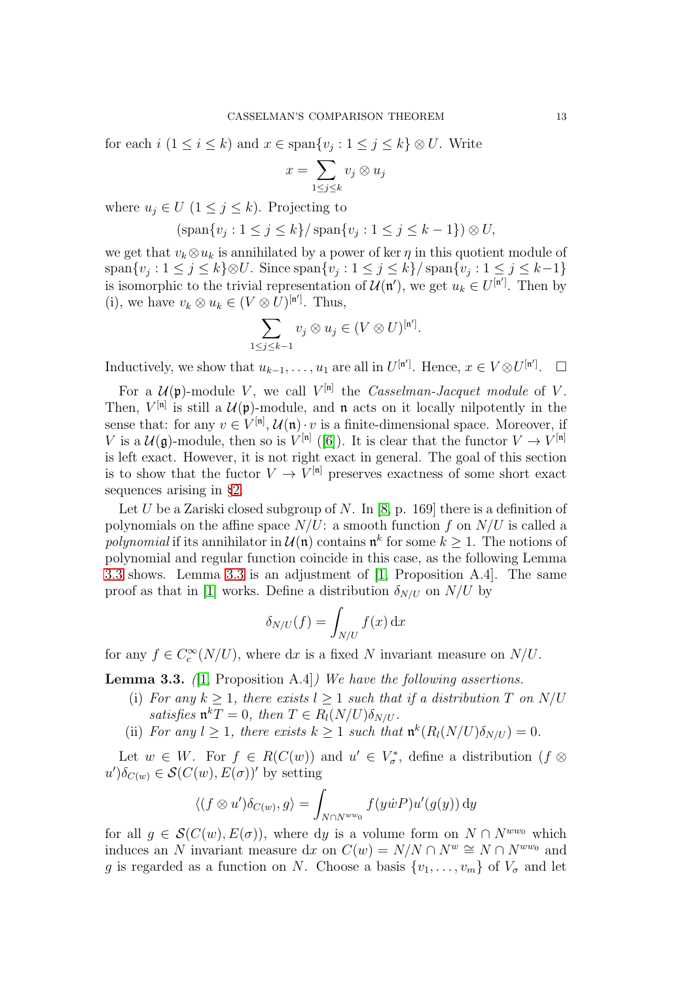for each  $i$   $(1 \leq i \leq k)$  and  $x \in \text{span}\{v_j : 1 \leq j \leq k\} \otimes U$ . Write

$$
x = \sum_{1 \le j \le k} v_j \otimes u_j
$$

where  $u_j \in U$   $(1 \leq j \leq k)$ . Projecting to

$$
(\operatorname{span}\{v_j: 1 \le j \le k\} / \operatorname{span}\{v_j: 1 \le j \le k - 1\}) \otimes U,
$$

we get that  $v_k \otimes u_k$  is annihilated by a power of ker  $\eta$  in this quotient module of  $\text{span}\{v_j: 1 \leq j \leq k\} \otimes U$ . Since  $\text{span}\{v_j: 1 \leq j \leq k\} / \text{span}\{v_j: 1 \leq j \leq k-1\}$ is isomorphic to the trivial representation of  $\mathcal{U}(\mathfrak{n}')$ , we get  $u_k \in U^{[\mathfrak{n}']}$ . Then by (i), we have  $v_k \otimes u_k \in (V \otimes U)^{[n']}$ . Thus,

$$
\sum_{1 \le j \le k-1} v_j \otimes u_j \in (V \otimes U)^{[n']}.
$$

Inductively, we show that  $u_{k-1}, \ldots, u_1$  are all in  $U^{[n']}$ . Hence,  $x \in V \otimes U^{[n']}$ .  $\Box$ 

For a  $\mathcal{U}(\mathfrak{p})$ -module V, we call  $V^{[\mathfrak{n}]}$  the Casselman-Jacquet module of V. Then,  $V^{[n]}$  is still a  $\mathcal{U}(\mathfrak{p})$ -module, and  $\mathfrak{n}$  acts on it locally nilpotently in the sense that: for any  $v \in V^{[n]}$ ,  $\mathcal{U}(\mathfrak{n}) \cdot v$  is a finite-dimensional space. Moreover, if V is a  $\mathcal{U}(\mathfrak{g})$ -module, then so is  $V^{[\mathfrak{n}]}([\mathfrak{b}])$ . It is clear that the functor  $V \to V^{[\mathfrak{n}]}$ is left exact. However, it is not right exact in general. The goal of this section is to show that the fuctor  $V \to V^{[n]}$  preserves exactness of some short exact sequences arising in §[2.](#page-6-0)

Let U be a Zariski closed subgroup of N. In [\[8,](#page-26-8) p. 169] there is a definition of polynomials on the affine space  $N/U$ : a smooth function f on  $N/U$  is called a polynomial if its annihilator in  $\mathcal{U}(\mathfrak{n})$  contains  $\mathfrak{n}^k$  for some  $k \geq 1$ . The notions of polynomial and regular function coincide in this case, as the following Lemma [3.3](#page-12-0) shows. Lemma [3.3](#page-12-0) is an adjustment of [\[1,](#page-25-6) Proposition A.4]. The same proof as that in [\[1\]](#page-25-6) works. Define a distribution  $\delta_{N/U}$  on  $N/U$  by

$$
\delta_{N/U}(f) = \int_{N/U} f(x) \, \mathrm{d}x
$$

for any  $f \in C_c^{\infty}(N/U)$ , where dx is a fixed N invariant measure on  $N/U$ .

<span id="page-12-0"></span>**Lemma 3.3.** (1, Proposition A.4)) We have the following assertions.

- (i) For any  $k \geq 1$ , there exists  $l \geq 1$  such that if a distribution T on N/U satisfies  $\mathfrak{n}^k T = 0$ , then  $T \in R_l(N/U) \delta_{N/U}$ .
- (ii) For any  $l \geq 1$ , there exists  $k \geq 1$  such that  $\mathfrak{n}^k(R_l(N/U)\delta_{N/U}) = 0$ .

Let  $w \in W$ . For  $f \in R(C(w))$  and  $u' \in V^*_{\sigma}$ , define a distribution  $(f \otimes$  $u' \delta_{C(w)} \in \mathcal{S}(C(w), E(\sigma))'$  by setting

$$
\langle (f \otimes u') \delta_{C(w)}, g \rangle = \int_{N \cap N^{ww_0}} f(y \dot{w} P) u'(g(y)) dy
$$

for all  $q \in \mathcal{S}(C(w), E(\sigma))$ , where dy is a volume form on  $N \cap N^{ww_0}$  which induces an N invariant measure dx on  $C(w) = N/N \cap N^w \cong N \cap N^{ww_0}$  and g is regarded as a function on N. Choose a basis  $\{v_1, \ldots, v_m\}$  of  $V_{\sigma}$  and let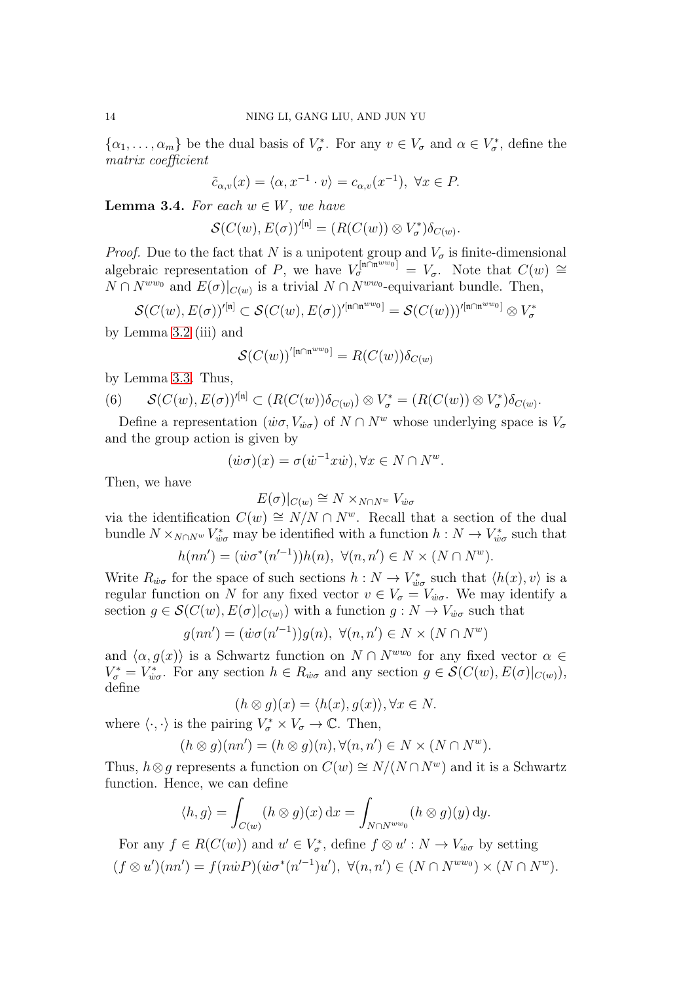$\{\alpha_1,\ldots,\alpha_m\}$  be the dual basis of  $V^*_{\sigma}$ . For any  $v \in V_{\sigma}$  and  $\alpha \in V^*_{\sigma}$ , define the matrix coefficient

$$
\tilde{c}_{\alpha,v}(x) = \langle \alpha, x^{-1} \cdot v \rangle = c_{\alpha,v}(x^{-1}), \ \forall x \in P.
$$

<span id="page-13-1"></span>**Lemma 3.4.** For each  $w \in W$ , we have

$$
\mathcal{S}(C(w), E(\sigma))'^{[n]} = (R(C(w)) \otimes V_{\sigma}^*) \delta_{C(w)}.
$$

*Proof.* Due to the fact that N is a unipotent group and  $V_{\sigma}$  is finite-dimensional algebraic representation of P, we have  $V_{\sigma}^{[\mathfrak{n}\cap\mathfrak{n}^{ww_0}]} = V_{\sigma}$ . Note that  $C(w) \cong$  $N \cap N^{ww_0}$  and  $E(\sigma)|_{C(w)}$  is a trivial  $N \cap N^{ww_0}$ -equivariant bundle. Then,

$$
\mathcal{S}(C(w),E(\sigma))'^{[\mathfrak{n}]} \subset \mathcal{S}(C(w),E(\sigma))'^{[\mathfrak{n} \cap \mathfrak{n}^{ww_0}]} = \mathcal{S}(C(w)))'^{[\mathfrak{n} \cap \mathfrak{n}^{ww_0}]} \otimes V_{\sigma}^*
$$

by Lemma [3.2](#page-11-2) (iii) and

$$
\mathcal{S}(C(w))^{'[\mathfrak{n}\cap\mathfrak{n}^{ww_0}]}=R(C(w))\delta_{C(w)}
$$

by Lemma [3.3.](#page-12-0) Thus,

<span id="page-13-0"></span>(6) 
$$
\mathcal{S}(C(w), E(\sigma))'^{[n]} \subset (R(C(w))\delta_{C(w)}) \otimes V_{\sigma}^* = (R(C(w)) \otimes V_{\sigma}^*)\delta_{C(w)}.
$$

Define a representation  $(\dot{w}\sigma, V_{\dot{w}\sigma})$  of  $N \cap N^w$  whose underlying space is  $V_{\sigma}$ and the group action is given by

$$
(\dot{w}\sigma)(x) = \sigma(\dot{w}^{-1}x\dot{w}), \forall x \in N \cap N^w.
$$

Then, we have

$$
E(\sigma)|_{C(w)} \cong N \times_{N \cap N^w} V_{\dot{w}\sigma}
$$

via the identification  $C(w) \cong N/N \cap N^w$ . Recall that a section of the dual bundle  $N \times_{N \cap N^w} V_{\dot{w}\sigma}^*$  may be identified with a function  $h: N \to V_{\dot{w}\sigma}^*$  such that

$$
h(nn') = (\dot{w}\sigma^*(n'^{-1}))h(n), \ \forall (n, n') \in N \times (N \cap N^w).
$$

Write  $R_{\dot{w}\sigma}$  for the space of such sections  $h: N \to V^*_{\dot{w}\sigma}$  such that  $\langle h(x), v \rangle$  is a regular function on N for any fixed vector  $v \in V_{\sigma} = V_{\dot{w}\sigma}$ . We may identify a section  $g \in \mathcal{S}(C(w), E(\sigma)|_{C(w)})$  with a function  $g: N \to V_{w\sigma}$  such that

$$
g(nn') = (\dot{w}\sigma(n'^{-1}))g(n), \ \forall (n, n') \in N \times (N \cap N^w)
$$

and  $\langle \alpha, g(x) \rangle$  is a Schwartz function on  $N \cap N^{ww_0}$  for any fixed vector  $\alpha \in$  $V^*_{\sigma} = V^*_{\dot{w}\sigma}$ . For any section  $h \in R_{\dot{w}\sigma}$  and any section  $g \in \mathcal{S}(C(w), E(\sigma)|_{C(w)})$ , define

$$
(h \otimes g)(x) = \langle h(x), g(x) \rangle, \forall x \in N.
$$

where  $\langle \cdot, \cdot \rangle$  is the pairing  $V^*_{\sigma} \times V_{\sigma} \to \mathbb{C}$ . Then,

$$
(h \otimes g)(nn') = (h \otimes g)(n), \forall (n, n') \in N \times (N \cap N^{w}).
$$

Thus,  $h \otimes g$  represents a function on  $C(w) \cong N/(N \cap N^w)$  and it is a Schwartz function. Hence, we can define

$$
\langle h, g \rangle = \int_{C(w)} (h \otimes g)(x) \, dx = \int_{N \cap N^{ww_0}} (h \otimes g)(y) \, dy.
$$

For any  $f \in R(C(w))$  and  $u' \in V^*_{\sigma}$ , define  $f \otimes u' : N \to V_{\dot{w}\sigma}$  by setting  $(f \otimes u')(nn') = f(n\dot{w}P)(\dot{w}\sigma^*(n'^{-1})u'), \ \forall (n,n') \in (N \cap N^{ww_0}) \times (N \cap N^w).$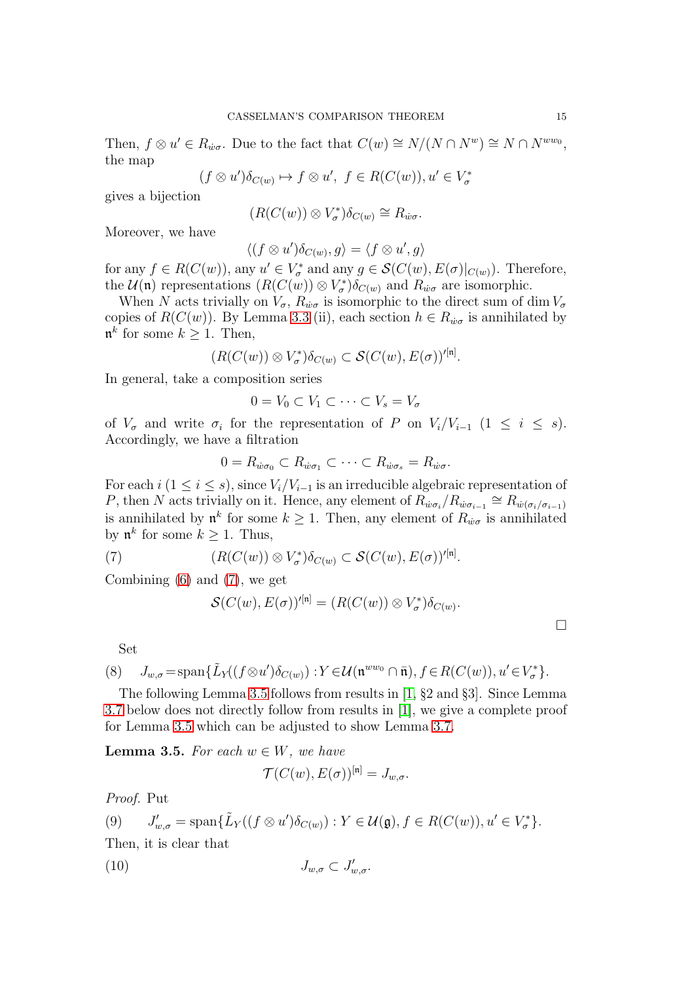Then,  $f \otimes u' \in R_{\dot{w}\sigma}$ . Due to the fact that  $C(w) \cong N/(N \cap N^w) \cong N \cap N^{ww_0}$ , the map

$$
(f \otimes u')\delta_{C(w)} \mapsto f \otimes u', \ f \in R(C(w)), u' \in V_{\sigma}^*
$$

gives a bijection

$$
(R(C(w))\otimes V^*_{\sigma})\delta_{C(w)}\cong R_{\dot{w}\sigma}.
$$

Moreover, we have

$$
\langle (f \otimes u')\delta_{C(w)}, g \rangle = \langle f \otimes u', g \rangle
$$

for any  $f \in R(C(w))$ , any  $u' \in V^*_{\sigma}$  and any  $g \in \mathcal{S}(C(w), E(\sigma)|_{C(w)})$ . Therefore, the  $\mathcal{U}(\mathfrak{n})$  representations  $(R(C(w)) \otimes V^*_{\sigma})\delta_{C(w)}$  and  $R_{w\sigma}$  are isomorphic.

When N acts trivially on  $V_{\sigma}$ ,  $R_{\dot{w}\sigma}$  is isomorphic to the direct sum of dim  $V_{\sigma}$ copies of  $R(C(w))$ . By Lemma [3.3](#page-12-0) (ii), each section  $h \in R_{\dot{w}\sigma}$  is annihilated by  $\mathfrak{n}^k$  for some  $k \geq 1$ . Then,

$$
(R(C(w))\otimes V_{\sigma}^*)\delta_{C(w)}\subset \mathcal{S}(C(w),E(\sigma))'^{[n]}.
$$

In general, take a composition series

$$
0 = V_0 \subset V_1 \subset \cdots \subset V_s = V_\sigma
$$

of  $V_{\sigma}$  and write  $\sigma_i$  for the representation of P on  $V_i/V_{i-1}$   $(1 \leq i \leq s)$ . Accordingly, we have a filtration

$$
0 = R_{\dot{w}\sigma_0} \subset R_{\dot{w}\sigma_1} \subset \cdots \subset R_{\dot{w}\sigma_s} = R_{\dot{w}\sigma}.
$$

For each  $i$  (1 ≤ i ≤ s), since  $V_i/V_{i-1}$  is an irreducible algebraic representation of P, then N acts trivially on it. Hence, any element of  $R_{\dot{w}\sigma_i}/R_{\dot{w}\sigma_{i-1}} \cong R_{\dot{w}(\sigma_i/\sigma_{i-1})}$ is annihilated by  $\mathfrak{n}^k$  for some  $k \geq 1$ . Then, any element of  $R_{\dot{w}\sigma}$  is annihilated by  $\mathfrak{n}^k$  for some  $k \geq 1$ . Thus,

(7) 
$$
(R(C(w))\otimes V^*_{\sigma})\delta_{C(w)}\subset \mathcal{S}(C(w),E(\sigma))'^{[n]}.
$$

Combining [\(6\)](#page-13-0) and [\(7\)](#page-14-0), we get

<span id="page-14-0"></span>
$$
\mathcal{S}(C(w), E(\sigma))'^{[n]} = (R(C(w)) \otimes V_{\sigma}^*)\delta_{C(w)}.
$$

<span id="page-14-3"></span>Set

(8) 
$$
J_{w,\sigma} = \text{span}\{\tilde{L}_Y((f \otimes u')\delta_{C(w)}) : Y \in \mathcal{U}(\mathfrak{n}^{ww_0} \cap \bar{\mathfrak{n}}), f \in R(C(w)), u' \in V_{\sigma}^*\}.
$$

The following Lemma [3.5](#page-14-1) follows from results in [\[1,](#page-25-6) §2 and §3]. Since Lemma [3.7](#page-16-0) below does not directly follow from results in [\[1\]](#page-25-6), we give a complete proof for Lemma [3.5](#page-14-1) which can be adjusted to show Lemma [3.7.](#page-16-0)

<span id="page-14-1"></span>**Lemma 3.5.** For each  $w \in W$ , we have

<span id="page-14-2"></span>
$$
\mathcal{T}(C(w), E(\sigma))^{\mathfrak{[n]}} = J_{w,\sigma}.
$$

Proof. Put

(9) 
$$
J'_{w,\sigma} = \text{span}\{\tilde{L}_Y((f \otimes u')\delta_{C(w)}) : Y \in \mathcal{U}(\mathfrak{g}), f \in R(C(w)), u' \in V^*_{\sigma}\}.
$$

Then, it is clear that

$$
(10) \t\t J_{w,\sigma} \subset J'_{w,\sigma}.
$$

 $\Box$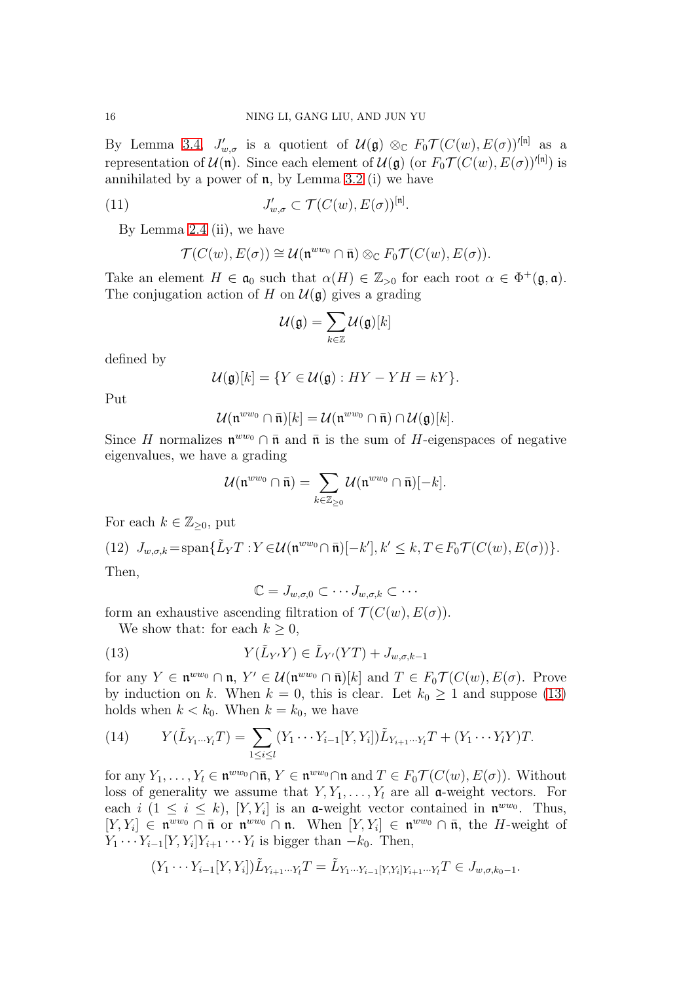By Lemma [3.4,](#page-13-1)  $J'_{w,\sigma}$  is a quotient of  $\mathcal{U}(\mathfrak{g}) \otimes_{\mathbb{C}} F_0 \mathcal{T}(C(w), E(\sigma))^{\prime [n]}$  as a representation of  $\mathcal{U}(\mathfrak{n})$ . Since each element of  $\mathcal{U}(\mathfrak{g})$  (or  $F_0\mathcal{T}(C(w), E(\sigma))^{\prime[\mathfrak{n}]})$  is annihilated by a power of  $\mathfrak n$ , by Lemma [3.2](#page-11-2) (i) we have

(11) 
$$
J'_{w,\sigma} \subset \mathcal{T}(C(w), E(\sigma))^{\mathfrak{[n]}}.
$$

By Lemma [2.4](#page-9-0) (ii), we have

<span id="page-15-1"></span>
$$
\mathcal{T}(C(w),E(\sigma))\cong\mathcal{U}(\mathfrak{n}^{ww_0}\cap\bar{\mathfrak{n}})\otimes_{\mathbb{C}}F_0\mathcal{T}(C(w),E(\sigma)).
$$

Take an element  $H \in \mathfrak{a}_0$  such that  $\alpha(H) \in \mathbb{Z}_{>0}$  for each root  $\alpha \in \Phi^+(\mathfrak{g}, \mathfrak{a})$ . The conjugation action of H on  $\mathcal{U}(\mathfrak{g})$  gives a grading

$$
\mathcal{U}(\mathfrak{g})=\sum_{k\in\mathbb{Z}}\mathcal{U}(\mathfrak{g})[k]
$$

defined by

$$
\mathcal{U}(\mathfrak{g})[k] = \{ Y \in \mathcal{U}(\mathfrak{g}) : HY - YH = kY \}.
$$

Put

$$
\mathcal{U}(\mathfrak{n}^{ww_0}\cap\bar{\mathfrak{n}})[k]=\mathcal{U}(\mathfrak{n}^{ww_0}\cap\bar{\mathfrak{n}})\cap\mathcal{U}(\mathfrak{g})[k].
$$

Since H normalizes  $\mathfrak{n}^{ww_0} \cap \bar{\mathfrak{n}}$  and  $\bar{\mathfrak{n}}$  is the sum of H-eigenspaces of negative eigenvalues, we have a grading

$$
\mathcal{U}(\mathfrak{n}^{ww_0}\cap\bar{\mathfrak{n}})=\sum_{k\in\mathbb{Z}_{\geq 0}}\mathcal{U}(\mathfrak{n}^{ww_0}\cap\bar{\mathfrak{n}})[-k].
$$

For each  $k \in \mathbb{Z}_{\geq 0}$ , put

(12) 
$$
J_{w,\sigma,k}
$$
 = span{  $\tilde{L}_Y T : Y \in \mathcal{U}(\mathfrak{n}^{ww_0} \cap \bar{\mathfrak{n}})[-k'], k' \leq k, T \in F_0 \mathcal{T}(C(w), E(\sigma)) \}$ .  
Then,

<span id="page-15-0"></span> $\mathbb{C} = J_{w,\sigma,0} \subset \cdots J_{w,\sigma,k} \subset \cdots$ 

form an exhaustive ascending filtration of  $\mathcal{T}(C(w), E(\sigma))$ .

We show that: for each  $k \geq 0$ ,

(13) 
$$
Y(\tilde{L}_{Y'}Y) \in \tilde{L}_{Y'}(YT) + J_{w,\sigma,k-1}
$$

for any  $Y \in \mathfrak{n}^{ww_0} \cap \mathfrak{n}, Y' \in \mathcal{U}(\mathfrak{n}^{ww_0} \cap \bar{\mathfrak{n}})[k]$  and  $T \in F_0 \mathcal{T}(C(w), E(\sigma))$ . Prove by induction on k. When  $k = 0$ , this is clear. Let  $k_0 \ge 1$  and suppose [\(13\)](#page-15-0) holds when  $k < k_0$ . When  $k = k_0$ , we have

<span id="page-15-2"></span>(14) 
$$
Y(\tilde{L}_{Y_1\cdots Y_l}T) = \sum_{1 \leq i \leq l} (Y_1 \cdots Y_{i-1}[Y,Y_i]) \tilde{L}_{Y_{i+1}\cdots Y_l}T + (Y_1 \cdots Y_l Y)T.
$$

for any  $Y_1, \ldots, Y_l \in \mathfrak{n}^{ww_0} \cap \bar{\mathfrak{n}}, Y \in \mathfrak{n}^{ww_0} \cap \mathfrak{n}$  and  $T \in F_0\mathcal{T}(C(w), E(\sigma))$ . Without loss of generality we assume that  $Y, Y_1, \ldots, Y_l$  are all a-weight vectors. For each  $i$  ( $1 \leq i \leq k$ ), [Y, Y<sub>i</sub>] is an **a**-weight vector contained in  $\mathfrak{n}^{ww_0}$ . Thus,  $[Y, Y_i] \in \mathfrak{n}^{ww_0} \cap \bar{\mathfrak{n}}$  or  $\mathfrak{n}^{ww_0} \cap \mathfrak{n}$ . When  $[Y, Y_i] \in \mathfrak{n}^{ww_0} \cap \bar{\mathfrak{n}}$ , the H-weight of  $Y_1 \cdots Y_{i-1} [Y, Y_i] Y_{i+1} \cdots Y_l$  is bigger than  $-k_0$ . Then,

$$
(Y_1 \cdots Y_{i-1}[Y, Y_i]) \tilde{L}_{Y_{i+1} \cdots Y_l} T = \tilde{L}_{Y_1 \cdots Y_{i-1}[Y, Y_i]Y_{i+1} \cdots Y_l} T \in J_{w, \sigma, k_0 - 1}.
$$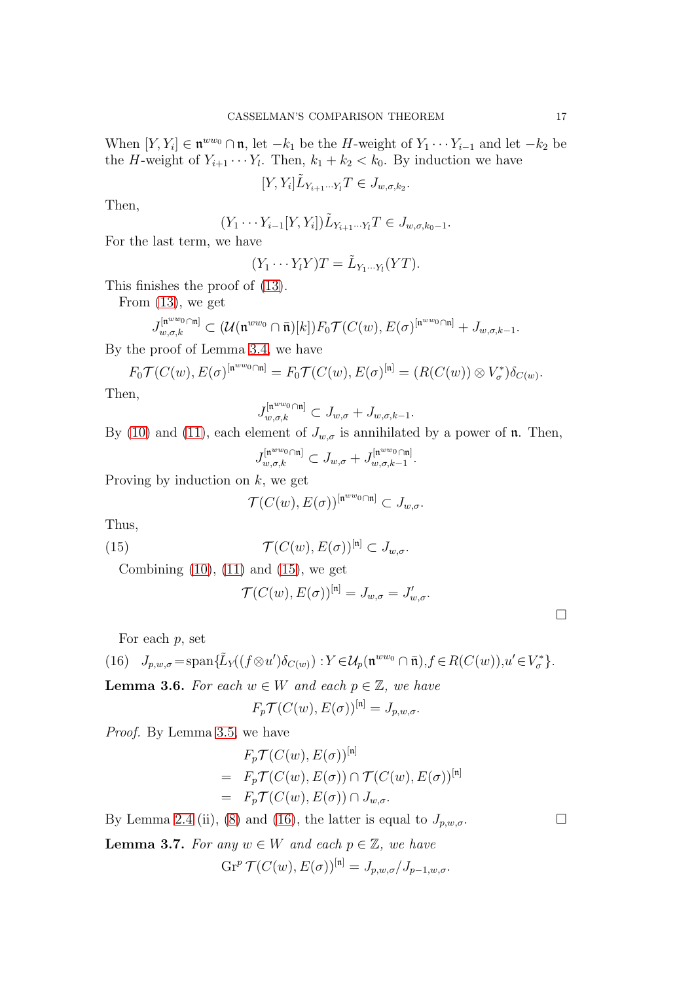When  $[Y, Y_i] \in \mathfrak{n}^{ww_0} \cap \mathfrak{n}$ , let  $-k_1$  be the H-weight of  $Y_1 \cdots Y_{i-1}$  and let  $-k_2$  be the *H*-weight of  $Y_{i+1} \cdots Y_l$ . Then,  $k_1 + k_2 < k_0$ . By induction we have

$$
[Y,Y_i]\tilde{L}_{Y_{i+1}\cdots Y_l}T\in J_{w,\sigma,k_2}.
$$

Then,

$$
(Y_1 \cdots Y_{i-1}[Y, Y_i]) \tilde{L}_{Y_{i+1} \cdots Y_l} T \in J_{w, \sigma, k_0 - 1}.
$$

For the last term, we have

$$
(Y_1 \cdots Y_l Y)T = \tilde{L}_{Y_1 \cdots Y_l}(YT).
$$

This finishes the proof of [\(13\)](#page-15-0).

From [\(13\)](#page-15-0), we get

$$
J_{w,\sigma,k}^{[\mathfrak{n}^{ww_0}\cap\mathfrak{n}]} \subset (\mathcal{U}(\mathfrak{n}^{ww_0}\cap\bar{\mathfrak{n}})[k])F_0\mathcal{T}(C(w),E(\sigma)^{[\mathfrak{n}^{ww_0}\cap\mathfrak{n}]}+J_{w,\sigma,k-1}.
$$

By the proof of Lemma [3.4,](#page-13-1) we have

$$
F_0 \mathcal{T}(C(w), E(\sigma)^{[\mathfrak{n}^{ww_0}\cap\mathfrak{n}]}=F_0 \mathcal{T}(C(w), E(\sigma)^{[\mathfrak{n}]}=(R(C(w))\otimes V_{\sigma}^*)\delta_{C(w)}.
$$

Then,

$$
J_{w,\sigma,k}^{[\mathfrak{n}^{ww_0}\cap\mathfrak{n}]} \subset J_{w,\sigma}+J_{w,\sigma,k-1}.
$$

By [\(10\)](#page-14-2) and [\(11\)](#page-15-1), each element of  $J_{w,\sigma}$  is annihilated by a power of **n**. Then,

$$
J_{w,\sigma,k}^{[\mathfrak{n}^{ww_0}\cap\mathfrak{n}]} \subset J_{w,\sigma}+J_{w,\sigma,k-1}^{[\mathfrak{n}^{ww_0}\cap\mathfrak{n}]}.
$$

Proving by induction on  $k$ , we get

<span id="page-16-1"></span>
$$
\mathcal{T}(C(w),E(\sigma))^{\left[\mathfrak{n}^{ww_0}\cap\mathfrak{n}\right]}\subset J_{w,\sigma}.
$$

Thus,

(15) 
$$
\mathcal{T}(C(w), E(\sigma))^{\lbrack \mathfrak{n} \rbrack} \subset J_{w,\sigma}.
$$

Combining  $(10)$ ,  $(11)$  and  $(15)$ , we get

$$
\mathcal{T}(C(w), E(\sigma))^{\mathfrak{[n]}} = J_{w,\sigma} = J'_{w,\sigma}.
$$

<span id="page-16-2"></span>For each  $p$ , set

(16) 
$$
J_{p,w,\sigma} = \text{span}\{\tilde{L}_Y((f \otimes u')\delta_{C(w)}) : Y \in \mathcal{U}_p(\mathfrak{n}^{ww_0} \cap \bar{\mathfrak{n}}), f \in R(C(w)), u' \in V^*_{\sigma}\}.
$$

<span id="page-16-3"></span>**Lemma 3.6.** For each  $w \in W$  and each  $p \in \mathbb{Z}$ , we have

$$
F_p \mathcal{T}(C(w), E(\sigma))^{\mathfrak{[n]}} = J_{p,w,\sigma}.
$$

Proof. By Lemma [3.5,](#page-14-1) we have

$$
F_p \mathcal{T}(C(w), E(\sigma))^{\mathfrak{[n]}} \\
= F_p \mathcal{T}(C(w), E(\sigma)) \cap \mathcal{T}(C(w), E(\sigma))^{\mathfrak{[n]}} \\
= F_p \mathcal{T}(C(w), E(\sigma)) \cap J_{w, \sigma}.
$$

By Lemma [2.4](#page-9-0) (ii), [\(8\)](#page-14-3) and [\(16\)](#page-16-2), the latter is equal to  $J_{p,w,\sigma}$ .

<span id="page-16-0"></span>**Lemma 3.7.** For any  $w \in W$  and each  $p \in \mathbb{Z}$ , we have

$$
\operatorname{Gr}^p \mathcal{T}(C(w), E(\sigma))^{\left[n\right]} = J_{p,w,\sigma}/J_{p-1,w,\sigma}.
$$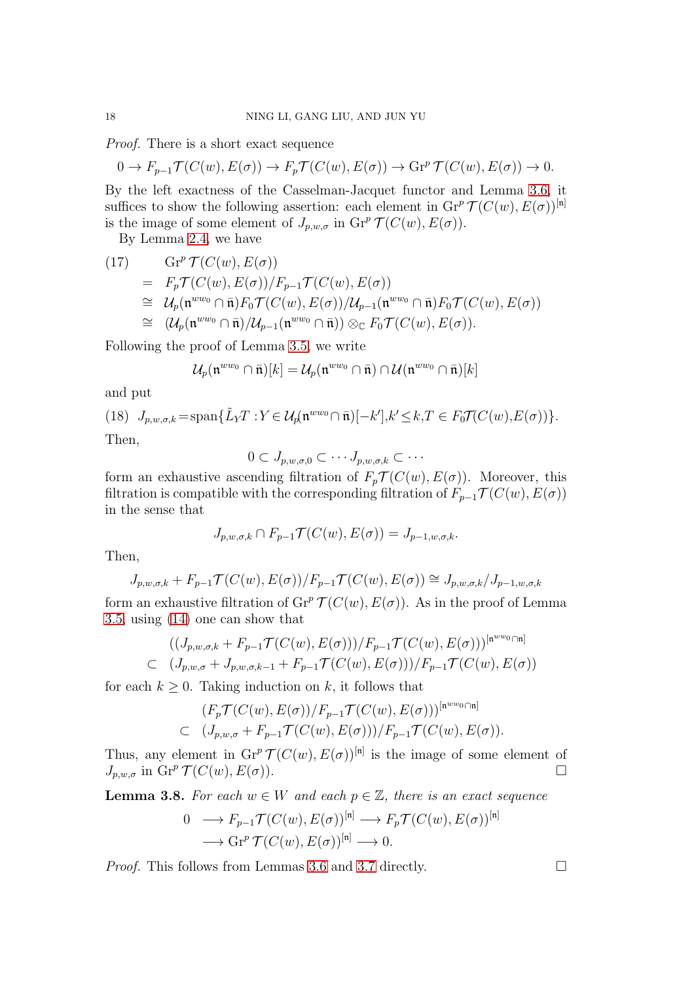Proof. There is a short exact sequence

$$
0 \to F_{p-1} \mathcal{T}(C(w), E(\sigma)) \to F_p \mathcal{T}(C(w), E(\sigma)) \to \text{Gr}^p \mathcal{T}(C(w), E(\sigma)) \to 0.
$$

By the left exactness of the Casselman-Jacquet functor and Lemma [3.6,](#page-16-3) it suffices to show the following assertion: each element in  $\mathrm{Gr}^p \mathcal{T}(C(w), E(\sigma))^{\mathfrak{[n]}}$ is the image of some element of  $J_{p,w,\sigma}$  in  $\mathrm{Gr}^p\mathcal{T}(C(w),E(\sigma)).$ 

By Lemma [2.4,](#page-9-0) we have

Gr<sup>p</sup> (17) T (C(w), E(σ)) = FpT (C(w), E(σ))/Fp−1T (C(w), E(σ)) ∼= Up(n ww<sup>0</sup> ∩ n¯)F0T (C(w), E(σ))/Up−1(n ww<sup>0</sup> ∩ n¯)F0T (C(w), E(σ)) ∼= (Up(n ww<sup>0</sup> ∩ n¯)/Up−1(n ww<sup>0</sup> ∩ n¯)) ⊗<sup>C</sup> F0T (C(w), E(σ)).

Following the proof of Lemma [3.5,](#page-14-1) we write

$$
\mathcal{U}_p(\mathfrak{n}^{ww_0}\cap \bar{\mathfrak{n}})[k]=\mathcal{U}_p(\mathfrak{n}^{ww_0}\cap \bar{\mathfrak{n}})\cap \mathcal{U}(\mathfrak{n}^{ww_0}\cap \bar{\mathfrak{n}})[k]
$$

and put

(18) 
$$
J_{p,w,\sigma,k} = \text{span}\{\tilde{L}_Y T : Y \in \mathcal{U}_p(\mathfrak{n}^{ww_0} \cap \bar{\mathfrak{n}})[-k'], k' \leq k, T \in F_0 \mathcal{T}(C(w), E(\sigma))\}.
$$
  
Then

Then,

$$
0\subset J_{p,w,\sigma,0}\subset\cdots J_{p,w,\sigma,k}\subset\cdots
$$

form an exhaustive ascending filtration of  $F_p \mathcal{T}(C(w), E(\sigma))$ . Moreover, this filtration is compatible with the corresponding filtration of  $F_{p-1} \mathcal{T}(C(w), E(\sigma))$ in the sense that

$$
J_{p,w,\sigma,k} \cap F_{p-1} \mathcal{T}(C(w), E(\sigma)) = J_{p-1,w,\sigma,k}.
$$

Then,

$$
J_{p,w,\sigma,k} + F_{p-1} \mathcal{T}(C(w), E(\sigma))/F_{p-1} \mathcal{T}(C(w), E(\sigma)) \cong J_{p,w,\sigma,k}/J_{p-1,w,\sigma,k}
$$

form an exhaustive filtration of  $\operatorname{Gr}^p \mathcal{T}(C(w), E(\sigma))$ . As in the proof of Lemma [3.5,](#page-14-1) using [\(14\)](#page-15-2) one can show that

$$
((J_{p,w,\sigma,k} + F_{p-1}\mathcal{T}(C(w), E(\sigma))))/F_{p-1}\mathcal{T}(C(w), E(\sigma)))^{[n^{ww_0}\cap n]}
$$
  

$$
(J_{p,w,\sigma} + J_{p,w,\sigma,k-1} + F_{p-1}\mathcal{T}(C(w), E(\sigma)))/F_{p-1}\mathcal{T}(C(w), E(\sigma))
$$

for each  $k \geq 0$ . Taking induction on k, it follows that

$$
(F_p \mathcal{T}(C(w), E(\sigma))/F_{p-1} \mathcal{T}(C(w), E(\sigma)))^{[n^{ww_0}\cap n]}
$$
  

$$
(J_{p,w,\sigma} + F_{p-1} \mathcal{T}(C(w), E(\sigma))) / F_{p-1} \mathcal{T}(C(w), E(\sigma)).
$$

Thus, any element in  $\mathrm{Gr}^p \mathcal{T}(C(w), E(\sigma))^{\mathfrak{[n]}}$  is the image of some element of  $J_{p,w,\sigma}$  in  $\text{Gr}^p\, \mathcal{T}(C(w),E(\sigma)).$ 

<span id="page-17-0"></span>**Lemma 3.8.** For each  $w \in W$  and each  $p \in \mathbb{Z}$ , there is an exact sequence

$$
0 \longrightarrow F_{p-1} \mathcal{T}(C(w), E(\sigma))^{[n]} \longrightarrow F_p \mathcal{T}(C(w), E(\sigma))^{[n]}
$$

$$
\longrightarrow \text{Gr}^p \mathcal{T}(C(w), E(\sigma))^{[n]} \longrightarrow 0.
$$

*Proof.* This follows from Lemmas [3.6](#page-16-3) and [3.7](#page-16-0) directly.  $\Box$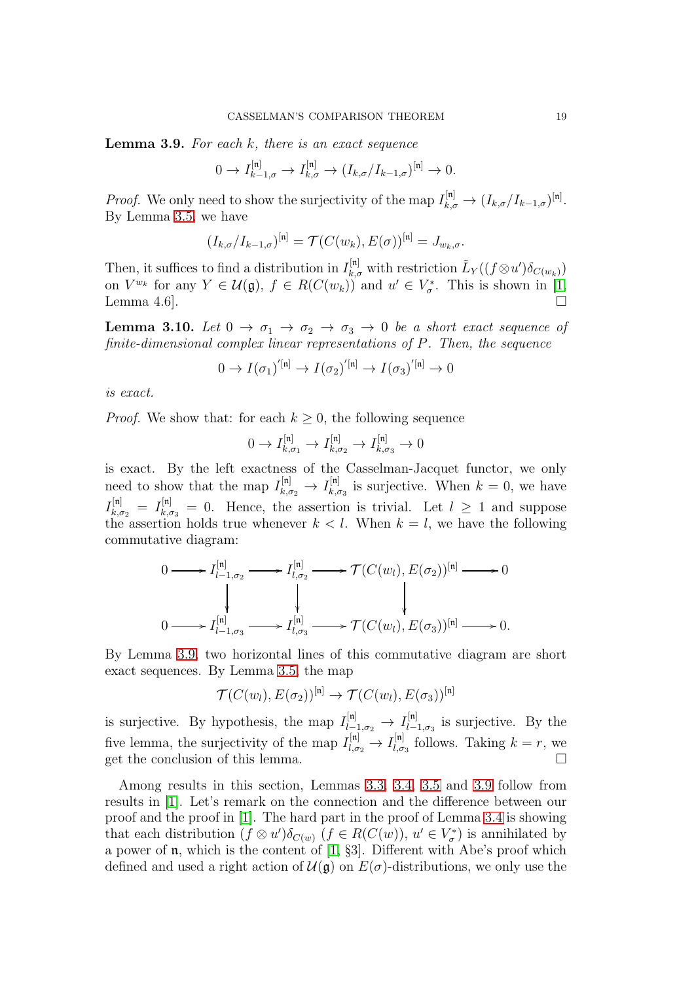<span id="page-18-0"></span>**Lemma 3.9.** For each  $k$ , there is an exact sequence

$$
0 \to I_{k-1,\sigma}^{[\mathfrak{n}]} \to I_{k,\sigma}^{[\mathfrak{n}]} \to (I_{k,\sigma}/I_{k-1,\sigma})^{[\mathfrak{n}]} \to 0.
$$

*Proof.* We only need to show the surjectivity of the map  $I_{k,\sigma}^{[n]} \to (I_{k,\sigma}/I_{k-1,\sigma})^{[n]}$ . By Lemma [3.5,](#page-14-1) we have

$$
(I_{k,\sigma}/I_{k-1,\sigma})^{[\mathfrak{n}]} = \mathcal{T}(C(w_k), E(\sigma))^{[\mathfrak{n}]} = J_{w_k,\sigma}.
$$

Then, it suffices to find a distribution in  $I_{k,\sigma}^{[n]}$  with restriction  $\tilde{L}_Y((f \otimes u')\delta_{C(w_k)})$ on  $V^{w_k}$  for any  $Y \in \mathcal{U}(\mathfrak{g}), f \in R(C(w_k))$  and  $u' \in V^*_{\sigma}$ . This is shown in [\[1,](#page-25-6) Lemma 4.6].

<span id="page-18-1"></span>**Lemma 3.10.** Let  $0 \to \sigma_1 \to \sigma_2 \to \sigma_3 \to 0$  be a short exact sequence of finite-dimensional complex linear representations of P. Then, the sequence

$$
0 \to I(\sigma_1)^{'[\mathfrak{n}]} \to I(\sigma_2)^{'[\mathfrak{n}]} \to I(\sigma_3)^{'[\mathfrak{n}]} \to 0
$$

is exact.

*Proof.* We show that: for each  $k \geq 0$ , the following sequence

$$
0 \to I_{k,\sigma_1}^{[\mathfrak{n}]} \to I_{k,\sigma_2}^{[\mathfrak{n}]} \to I_{k,\sigma_3}^{[\mathfrak{n}]} \to 0
$$

is exact. By the left exactness of the Casselman-Jacquet functor, we only need to show that the map  $I_{k,\sigma_2}^{[n]} \to I_{k,c}^{[n]}$  $\lim_{k,\sigma_3}$  is surjective. When  $k=0$ , we have  $I_{k,\sigma_2}^{[n]} = I_{k,\sigma_3}^{[n]} = 0$ . Hence, the assertion is trivial. Let  $l \geq 1$  and suppose the assertion holds true whenever  $k < l$ . When  $k = l$ , we have the following commutative diagram:

$$
0 \longrightarrow I_{l-1,\sigma_2}^{[n]} \longrightarrow I_{l,\sigma_2}^{[n]} \longrightarrow \mathcal{T}(C(w_l), E(\sigma_2))^{[n]} \longrightarrow 0
$$
  
\n
$$
\downarrow \qquad \qquad \downarrow
$$
  
\n
$$
0 \longrightarrow I_{l-1,\sigma_3}^{[n]} \longrightarrow I_{l,\sigma_3}^{[n]} \longrightarrow \mathcal{T}(C(w_l), E(\sigma_3))^{[n]} \longrightarrow 0.
$$

By Lemma [3.9,](#page-18-0) two horizontal lines of this commutative diagram are short exact sequences. By Lemma [3.5,](#page-14-1) the map

$$
\mathcal{T}(C(w_l), E(\sigma_2))^{\text{[n]}} \to \mathcal{T}(C(w_l), E(\sigma_3))^{\text{[n]}}
$$

is surjective. By hypothesis, the map  $I_{l-1,\sigma_2}^{[n]} \to I_{l-1}^{[n]}$  $\lim_{l=1,\sigma_3}$  is surjective. By the five lemma, the surjectivity of the map  $I_{l,\sigma_2}^{[n]} \rightarrow I_{l,\sigma}^{[n]}$  $\lim_{l,\sigma_3}$  follows. Taking  $k = r$ , we get the conclusion of this lemma.  $\Box$ 

Among results in this section, Lemmas [3.3,](#page-12-0) [3.4,](#page-13-1) [3.5](#page-14-1) and [3.9](#page-18-0) follow from results in [\[1\]](#page-25-6). Let's remark on the connection and the difference between our proof and the proof in [\[1\]](#page-25-6). The hard part in the proof of Lemma [3.4](#page-13-1) is showing that each distribution  $(f \otimes u')\delta_{C(w)}$   $(f \in R(C(w)), u' \in V^*_{\sigma})$  is annihilated by a power of n, which is the content of [\[1,](#page-25-6) §3]. Different with Abe's proof which defined and used a right action of  $\mathcal{U}(\mathfrak{g})$  on  $E(\sigma)$ -distributions, we only use the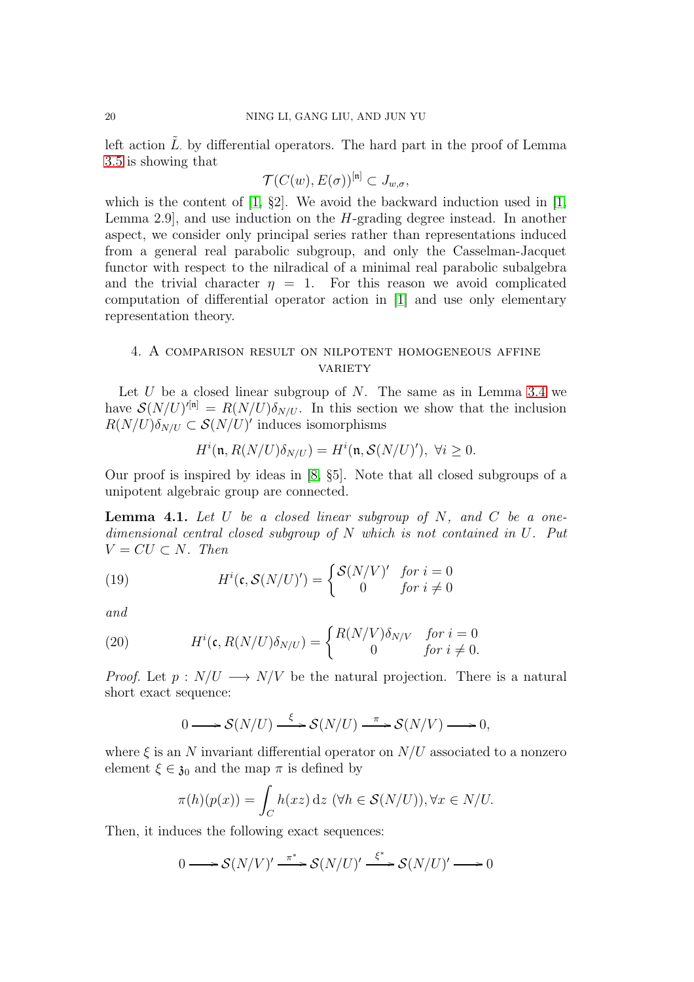left action  $\tilde{L}$  by differential operators. The hard part in the proof of Lemma [3.5](#page-14-1) is showing that

$$
\mathcal{T}(C(w), E(\sigma))^{\mathfrak{[n]}} \subset J_{w,\sigma},
$$

which is the content of  $[1, §2]$ . We avoid the backward induction used in  $[1, \, \, \ldots]$ Lemma 2.9], and use induction on the H-grading degree instead. In another aspect, we consider only principal series rather than representations induced from a general real parabolic subgroup, and only the Casselman-Jacquet functor with respect to the nilradical of a minimal real parabolic subalgebra and the trivial character  $\eta = 1$ . For this reason we avoid complicated computation of differential operator action in [\[1\]](#page-25-6) and use only elementary representation theory.

# <span id="page-19-0"></span>4. A comparison result on nilpotent homogeneous affine **VARIETY**

Let U be a closed linear subgroup of N. The same as in Lemma [3.4](#page-13-1) we have  $\mathcal{S}(N/U)^{r[n]} = R(N/U) \delta_{N/U}$ . In this section we show that the inclusion  $R(N/U)\delta_{N/U} \subset \mathcal{S}(N/U)'$  induces isomorphisms

$$
H^{i}(\mathfrak{n}, R(N/U)\delta_{N/U}) = H^{i}(\mathfrak{n}, \mathcal{S}(N/U)'), \ \forall i \ge 0.
$$

Our proof is inspired by ideas in [\[8,](#page-26-8) §5]. Note that all closed subgroups of a unipotent algebraic group are connected.

**Lemma 4.1.** Let U be a closed linear subgroup of N, and C be a onedimensional central closed subgroup of N which is not contained in U. Put  $V = CU \subset N$ . Then

<span id="page-19-2"></span>(19) 
$$
H^{i}(\mathfrak{c}, \mathcal{S}(N/U)') = \begin{cases} \mathcal{S}(N/V)' & \text{for } i = 0\\ 0 & \text{for } i \neq 0 \end{cases}
$$

and

(20) 
$$
H^{i}(\mathfrak{c}, R(N/U)\delta_{N/U}) = \begin{cases} R(N/V)\delta_{N/V} & \text{for } i = 0\\ 0 & \text{for } i \neq 0. \end{cases}
$$

*Proof.* Let  $p: N/U \longrightarrow N/V$  be the natural projection. There is a natural short exact sequence:

<span id="page-19-1"></span>
$$
0 \longrightarrow \mathcal{S}(N/U) \xrightarrow{\xi} \mathcal{S}(N/U) \xrightarrow{\pi} \mathcal{S}(N/V) \longrightarrow 0,
$$

where  $\xi$  is an N invariant differential operator on  $N/U$  associated to a nonzero element  $\xi \in \mathfrak{z}_0$  and the map  $\pi$  is defined by

$$
\pi(h)(p(x)) = \int_C h(xz) dz \, (\forall h \in \mathcal{S}(N/U)), \forall x \in N/U.
$$

Then, it induces the following exact sequences:

$$
0 \longrightarrow \mathcal{S}(N/V)' \xrightarrow{\pi^*} \mathcal{S}(N/U)' \xrightarrow{\xi^*} \mathcal{S}(N/U)' \longrightarrow 0
$$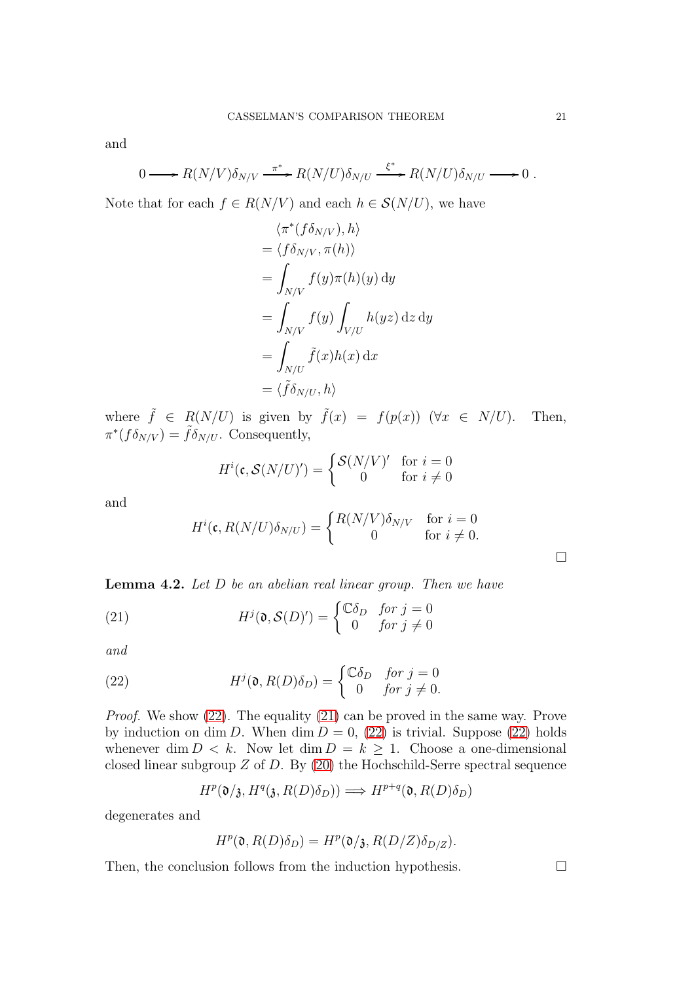and

$$
0 \longrightarrow R(N/V)\delta_{N/V} \xrightarrow{\pi^*} R(N/U)\delta_{N/U} \xrightarrow{\xi^*} R(N/U)\delta_{N/U} \longrightarrow 0.
$$

Note that for each  $f \in R(N/V)$  and each  $h \in S(N/U)$ , we have

$$
\langle \pi^*(f\delta_{N/V}), h \rangle
$$
  
=  $\langle f\delta_{N/V}, \pi(h) \rangle$   
=  $\int_{N/V} f(y)\pi(h)(y) dy$   
=  $\int_{N/V} f(y) \int_{V/U} h(yz) dz dy$   
=  $\int_{N/U} \tilde{f}(x)h(x) dx$   
=  $\langle \tilde{f}\delta_{N/U}, h \rangle$ 

where  $\tilde{f} \in R(N/U)$  is given by  $\tilde{f}(x) = f(p(x))$   $(\forall x \in N/U)$ . Then,  $\pi^*(f\delta_{N/V}) = \tilde{f}\delta_{N/U}$ . Consequently,

$$
H^i(\mathfrak{c}, \mathcal{S}(N/U)') = \begin{cases} \mathcal{S}(N/V)' & \text{for } i = 0\\ 0 & \text{for } i \neq 0 \end{cases}
$$

and

<span id="page-20-1"></span>
$$
H^{i}(\mathfrak{c}, R(N/U)\delta_{N/U}) = \begin{cases} R(N/V)\delta_{N/V} & \text{for } i = 0\\ 0 & \text{for } i \neq 0. \end{cases}
$$

**Lemma 4.2.** Let  $D$  be an abelian real linear group. Then we have

(21) 
$$
H^{j}(\mathfrak{d}, \mathcal{S}(D)) = \begin{cases} \mathbb{C}\delta_{D} & \text{for } j = 0\\ 0 & \text{for } j \neq 0 \end{cases}
$$

and

(22) 
$$
H^{j}(\mathfrak{d}, R(D)\delta_{D}) = \begin{cases} \mathbb{C}\delta_{D} & \text{for } j = 0\\ 0 & \text{for } j \neq 0. \end{cases}
$$

Proof. We show [\(22\)](#page-20-0). The equality [\(21\)](#page-20-1) can be proved in the same way. Prove by induction on dim D. When dim  $D = 0$ , [\(22\)](#page-20-0) is trivial. Suppose (22) holds whenever dim  $D < k$ . Now let dim  $D = k > 1$ . Choose a one-dimensional closed linear subgroup  $Z$  of  $D$ . By [\(20\)](#page-19-1) the Hochschild-Serre spectral sequence

<span id="page-20-0"></span>
$$
H^p(\mathfrak{d}/\mathfrak{z}, H^q(\mathfrak{z}, R(D)\delta_D)) \Longrightarrow H^{p+q}(\mathfrak{d}, R(D)\delta_D)
$$

degenerates and

$$
H^p(\mathfrak{d}, R(D)\delta_D) = H^p(\mathfrak{d}/\mathfrak{z}, R(D/Z)\delta_{D/Z}).
$$

Then, the conclusion follows from the induction hypothesis.  $\Box$ 

 $\Box$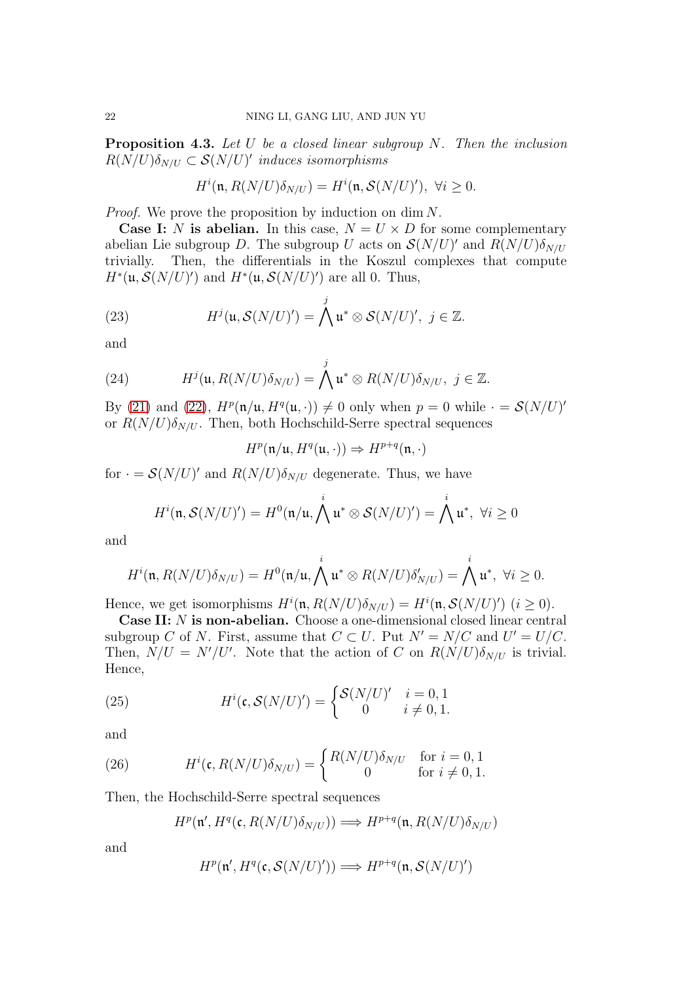<span id="page-21-0"></span>**Proposition 4.3.** Let  $U$  be a closed linear subgroup  $N$ . Then the inclusion  $R(N/U)\delta_{N/U} \subset \mathcal{S}(N/U)'$  induces isomorphisms

$$
H^{i}(\mathfrak{n}, R(N/U)\delta_{N/U}) = H^{i}(\mathfrak{n}, \mathcal{S}(N/U)'), \ \forall i \ge 0.
$$

Proof. We prove the proposition by induction on dim N.

**Case I:** N is abelian. In this case,  $N = U \times D$  for some complementary abelian Lie subgroup D. The subgroup U acts on  $\mathcal{S}(N/U)'$  and  $R(N/U)\delta_{N/U}$ trivially. Then, the differentials in the Koszul complexes that compute  $H^*(\mathfrak{u}, \mathcal{S}(N/U)')$  and  $H^*(\mathfrak{u}, \mathcal{S}(N/U)')$  are all 0. Thus,

(23) 
$$
H^{j}(\mathfrak{u}, \mathcal{S}(N/U)^{\prime}) = \bigwedge^{j} \mathfrak{u}^{*} \otimes \mathcal{S}(N/U)^{\prime}, \ j \in \mathbb{Z}.
$$

and

(24) 
$$
H^{j}(\mathfrak{u}, R(N/U)\delta_{N/U}) = \bigwedge^{j} \mathfrak{u}^* \otimes R(N/U)\delta_{N/U}, \ j \in \mathbb{Z}.
$$

By [\(21\)](#page-20-1) and [\(22\)](#page-20-0),  $H^p(\mathfrak{n}/\mathfrak{u}, H^q(\mathfrak{u},\cdot)) \neq 0$  only when  $p = 0$  while  $\cdot = \mathcal{S}(N/U)'$ or  $R(N/U)\delta_{N/U}$ . Then, both Hochschild-Serre spectral sequences

$$
H^p(\mathfrak{n}/\mathfrak{u},H^q(\mathfrak{u},\cdot))\Rightarrow H^{p+q}(\mathfrak{n},\cdot)
$$

for  $\cdot = \mathcal{S}(N/U)'$  and  $R(N/U)\delta_{N/U}$  degenerate. Thus, we have

$$
H^{i}(\mathfrak{n},\mathcal{S}(N/U)')=H^{0}(\mathfrak{n}/\mathfrak{u},\bigwedge^{i}\mathfrak{u}^{*}\otimes\mathcal{S}(N/U)')=\bigwedge^{i}\mathfrak{u}^{*},\ \forall i\geq 0
$$

and

$$
H^{i}(\mathfrak{n}, R(N/U)\delta_{N/U}) = H^{0}(\mathfrak{n}/\mathfrak{u}, \bigwedge^{i} \mathfrak{u}^{*} \otimes R(N/U)\delta'_{N/U}) = \bigwedge^{i} \mathfrak{u}^{*}, \ \forall i \geq 0.
$$

Hence, we get isomorphisms  $H^i(\mathfrak{n}, R(N/U)\delta_{N/U}) = H^i(\mathfrak{n}, \mathcal{S}(N/U)' )$   $(i \geq 0)$ .

Case II: N is non-abelian. Choose a one-dimensional closed linear central subgroup C of N. First, assume that  $C \subset U$ . Put  $N' = N/C$  and  $U' = U/C$ . Then,  $N/U = N'/U'$ . Note that the action of C on  $R(N/U)\delta_{N/U}$  is trivial. Hence,

(25) 
$$
H^{i}(\mathfrak{c}, \mathcal{S}(N/U)) = \begin{cases} \mathcal{S}(N/U)^{t} & i = 0, 1\\ 0 & i \neq 0, 1. \end{cases}
$$

and

(26) 
$$
H^{i}(\mathfrak{c}, R(N/U)\delta_{N/U}) = \begin{cases} R(N/U)\delta_{N/U} & \text{for } i = 0, 1\\ 0 & \text{for } i \neq 0, 1. \end{cases}
$$

Then, the Hochschild-Serre spectral sequences

$$
H^p(\mathfrak{n}',H^q(\mathfrak{c},R(N/U)\delta_{N/U}))\Longrightarrow H^{p+q}(\mathfrak{n},R(N/U)\delta_{N/U})
$$

and

$$
H^p(\mathfrak n',H^q(\mathfrak c,\mathcal S(N/U)'))\Longrightarrow H^{p+q}(\mathfrak n,\mathcal S(N/U)')
$$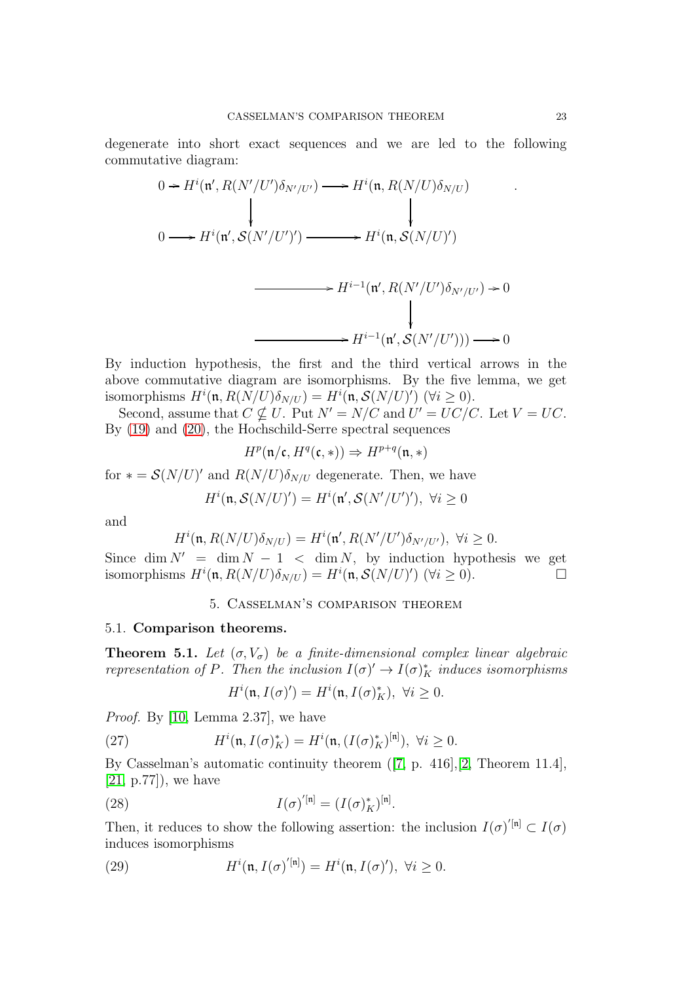degenerate into short exact sequences and we are led to the following commutative diagram:

$$
0 \to H^{i}(\mathfrak{n}', R(N'/U')\delta_{N'/U'}) \longrightarrow H^{i}(\mathfrak{n}, R(N/U)\delta_{N/U})
$$
  
\n
$$
0 \longrightarrow H^{i}(\mathfrak{n}', S(N'/U')) \longrightarrow H^{i}(\mathfrak{n}, S(N/U)')
$$
  
\n
$$
\longrightarrow H^{i-1}(\mathfrak{n}', R(N'/U')\delta_{N'/U'}) \to 0
$$
  
\n
$$
H^{i-1}(\mathfrak{n}', S(N'/U'))) \longrightarrow 0
$$

By induction hypothesis, the first and the third vertical arrows in the above commutative diagram are isomorphisms. By the five lemma, we get isomorphisms  $H^i(\mathfrak{n}, R(N/U)\delta_{N/U}) = H^i(\mathfrak{n}, \mathcal{S}(N/U)') \quad (\forall i \geq 0).$ 

Second, assume that  $C \nsubseteq U$ . Put  $N' = N/C$  and  $U' = UC/C$ . Let  $V = UC$ . By [\(19\)](#page-19-2) and [\(20\)](#page-19-1), the Hochschild-Serre spectral sequences

$$
H^p(\mathfrak{n}/\mathfrak{c}, H^q(\mathfrak{c},*)) \Rightarrow H^{p+q}(\mathfrak{n},*)
$$

for  $* = \mathcal{S}(N/U)'$  and  $R(N/U)\delta_{N/U}$  degenerate. Then, we have

$$
H^{i}(\mathfrak{n}, \mathcal{S}(N/U)') = H^{i}(\mathfrak{n}', \mathcal{S}(N'/U')), \ \forall i \ge 0
$$

and

$$
H^{i}(\mathfrak{n}, R(N/U)\delta_{N/U}) = H^{i}(\mathfrak{n}', R(N'/U')\delta_{N'/U'}), \ \forall i \ge 0.
$$

<span id="page-22-0"></span>Since dim  $N' = \dim N - 1 < \dim N$ , by induction hypothesis we get isomorphisms  $H^i(\mathfrak{n}, R(N/U)\delta_{N/U}) = H^i(\mathfrak{n}, \mathcal{S}(N/U)') \quad (\forall i \geq 0).$ 

## 5. Casselman's comparison theorem

## 5.1. Comparison theorems.

<span id="page-22-1"></span>**Theorem 5.1.** Let  $(\sigma, V_{\sigma})$  be a finite-dimensional complex linear algebraic representation of P. Then the inclusion  $I(\sigma)' \to I(\sigma)^*_{K}$  induces isomorphisms

$$
H^{i}(\mathfrak{n}, I(\sigma)') = H^{i}(\mathfrak{n}, I(\sigma)_{K}^{*}), \ \forall i \geq 0.
$$

Proof. By [\[10,](#page-26-9) Lemma 2.37], we have

(27) 
$$
H^{i}(\mathfrak{n}, I(\sigma)_{K}^{*}) = H^{i}(\mathfrak{n}, (I(\sigma)_{K}^{*})^{[\mathfrak{n}]}), \ \forall i \geq 0.
$$

By Casselman's automatic continuity theorem ([\[7,](#page-25-0) p. 416],[\[2,](#page-25-2) Theorem 11.4],  $[21, p.77]$  $[21, p.77]$ , we have

(28) 
$$
I(\sigma)^{n} = (I(\sigma)_K^*)^{[n]}.
$$

Then, it reduces to show the following assertion: the inclusion  $I(\sigma)^{n} \subset I(\sigma)$ induces isomorphisms

(29) 
$$
H^{i}(\mathfrak{n}, I(\sigma)^{'[\mathfrak{n}]}) = H^{i}(\mathfrak{n}, I(\sigma)^{'}) , \ \forall i \geq 0.
$$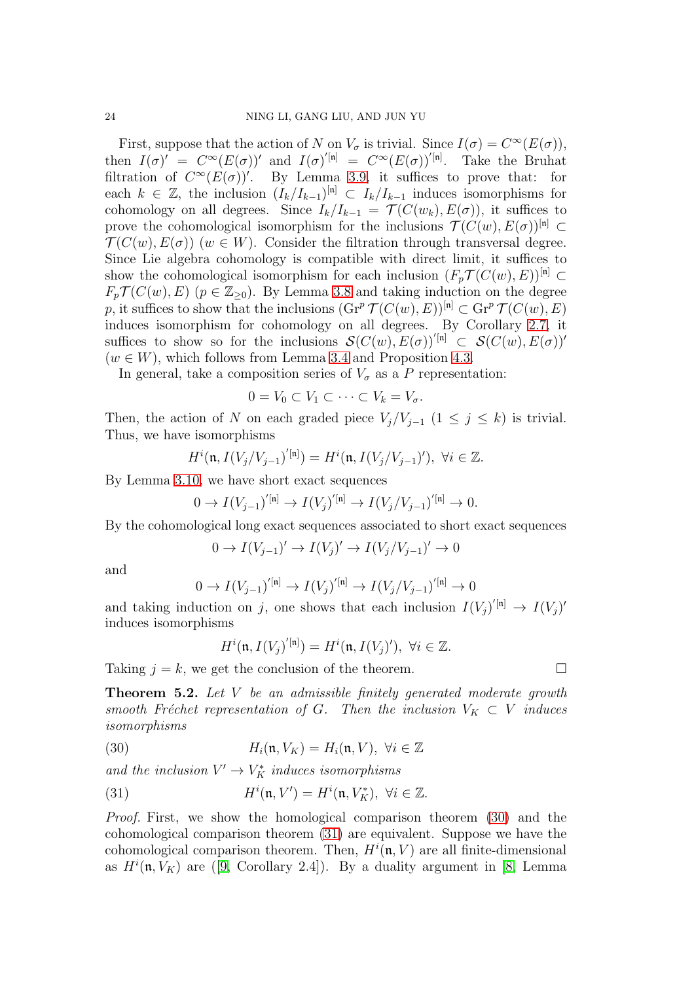First, suppose that the action of N on  $V_{\sigma}$  is trivial. Since  $I(\sigma) = C^{\infty}(E(\sigma)),$ then  $I(\sigma)' = C^{\infty}(E(\sigma))'$  and  $I(\sigma)^{'}[n] = C^{\infty}(E(\sigma))^{'}[n]$ . Take the Bruhat filtration of  $C^{\infty}(E(\sigma))'$ . By Lemma [3.9,](#page-18-0) it suffices to prove that: for each  $k \in \mathbb{Z}$ , the inclusion  $(I_k/I_{k-1})^{[n]} \subset I_k/I_{k-1}$  induces isomorphisms for cohomology on all degrees. Since  $I_k/I_{k-1} = \mathcal{T}(C(w_k), E(\sigma))$ , it suffices to prove the cohomological isomorphism for the inclusions  $\mathcal{T}(C(w), E(\sigma))^{\mathfrak{[n]}} \subset$  $\mathcal{T}(C(w), E(\sigma))$  (w  $\in W$ ). Consider the filtration through transversal degree. Since Lie algebra cohomology is compatible with direct limit, it suffices to show the cohomological isomorphism for each inclusion  $(F_p \mathcal{T}(C(w), E))^{[n]} \subset$  $F_p \mathcal{T}(C(w), E)$   $(p \in \mathbb{Z}_{\geq 0})$ . By Lemma [3.8](#page-17-0) and taking induction on the degree p, it suffices to show that the inclusions  $(\text{Gr}^p \mathcal{T}(C(w), E))^{\lfloor n \rfloor} \subset \text{Gr}^p \mathcal{T}(C(w), E)$ induces isomorphism for cohomology on all degrees. By Corollary [2.7,](#page-10-2) it suffices to show so for the inclusions  $\mathcal{S}(C(w), E(\sigma))^{'}[n] \subset \mathcal{S}(C(w), E(\sigma))'$  $(w \in W)$ , which follows from Lemma [3.4](#page-13-1) and Proposition [4.3.](#page-21-0)

In general, take a composition series of  $V_{\sigma}$  as a P representation:

$$
0 = V_0 \subset V_1 \subset \cdots \subset V_k = V_\sigma.
$$

Then, the action of N on each graded piece  $V_j/V_{j-1}$   $(1 \leq j \leq k)$  is trivial. Thus, we have isomorphisms

$$
H^i(\mathfrak{n},I(V_j/V_{j-1})^{'[\mathfrak{n}]})=H^i(\mathfrak{n},I(V_j/V_{j-1})'),\ \forall i\in\mathbb{Z}.
$$

By Lemma [3.10,](#page-18-1) we have short exact sequences

$$
0 \to I(V_{j-1})^{'[n]} \to I(V_j)^{'[n]} \to I(V_j/V_{j-1})^{'[n]} \to 0.
$$

By the cohomological long exact sequences associated to short exact sequences

$$
0 \to I(V_{j-1})' \to I(V_j)' \to I(V_j/V_{j-1})' \to 0
$$

and

$$
0 \to I(V_{j-1})^{'[n]} \to I(V_j)^{'[n]} \to I(V_j/V_{j-1})^{'[n]} \to 0
$$

and taking induction on j, one shows that each inclusion  $I(V_j)^{'[n]} \to I(V_j)'$ induces isomorphisms

<span id="page-23-0"></span>
$$
H^i(\mathfrak{n}, I(V_j)^{'[\mathfrak{n}]}) = H^i(\mathfrak{n}, I(V_j)^{'}) , \ \forall i \in \mathbb{Z}.
$$

Taking  $j = k$ , we get the conclusion of the theorem.

<span id="page-23-2"></span>Theorem 5.2. Let V be an admissible finitely generated moderate growth smooth Fréchet representation of G. Then the inclusion  $V_K \subset V$  induces isomorphisms

(30) 
$$
H_i(\mathfrak{n}, V_K) = H_i(\mathfrak{n}, V), \ \forall i \in \mathbb{Z}
$$

and the inclusion  $V' \to V_K^*$  induces isomorphisms

<span id="page-23-1"></span>(31) 
$$
H^{i}(\mathfrak{n}, V') = H^{i}(\mathfrak{n}, V_{K}^{*}), \ \forall i \in \mathbb{Z}.
$$

Proof. First, we show the homological comparison theorem [\(30\)](#page-23-0) and the cohomological comparison theorem [\(31\)](#page-23-1) are equivalent. Suppose we have the cohomological comparison theorem. Then,  $H^i(\mathfrak{n}, V)$  are all finite-dimensional as  $H^i(\mathfrak{n}, V_K)$  are ([\[9,](#page-26-7) Corollary 2.4]). By a duality argument in [\[8,](#page-26-8) Lemma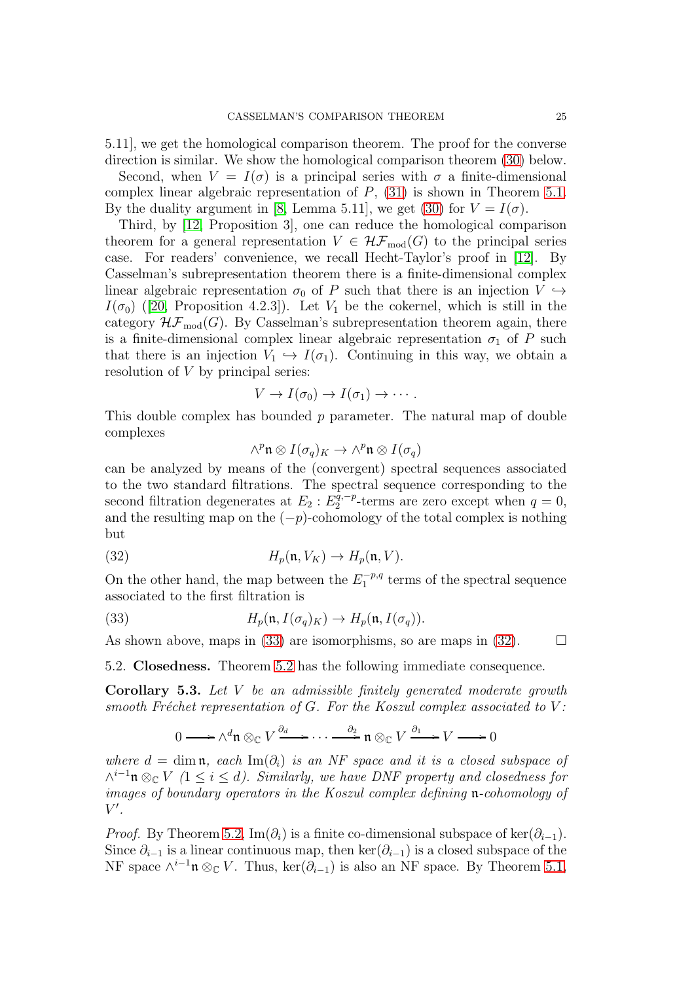5.11], we get the homological comparison theorem. The proof for the converse direction is similar. We show the homological comparison theorem [\(30\)](#page-23-0) below.

Second, when  $V = I(\sigma)$  is a principal series with  $\sigma$  a finite-dimensional complex linear algebraic representation of  $P$ , [\(31\)](#page-23-1) is shown in Theorem [5.1.](#page-22-1) By the duality argument in [\[8,](#page-26-8) Lemma 5.11], we get [\(30\)](#page-23-0) for  $V = I(\sigma)$ .

Third, by [\[12,](#page-26-0) Proposition 3], one can reduce the homological comparison theorem for a general representation  $V \in \mathcal{HF}_{mod}(G)$  to the principal series case. For readers' convenience, we recall Hecht-Taylor's proof in [\[12\]](#page-26-0). By Casselman's subrepresentation theorem there is a finite-dimensional complex linear algebraic representation  $\sigma_0$  of P such that there is an injection  $V \hookrightarrow$  $I(\sigma_0)$  ([\[20,](#page-26-13) Proposition 4.2.3]). Let  $V_1$  be the cokernel, which is still in the category  $\mathcal{HF}_{\text{mod}}(G)$ . By Casselman's subrepresentation theorem again, there is a finite-dimensional complex linear algebraic representation  $\sigma_1$  of P such that there is an injection  $V_1 \hookrightarrow I(\sigma_1)$ . Continuing in this way, we obtain a resolution of  $V$  by principal series:

$$
V \to I(\sigma_0) \to I(\sigma_1) \to \cdots.
$$

This double complex has bounded p parameter. The natural map of double complexes

<span id="page-24-1"></span>
$$
\wedge^p \mathfrak{n} \otimes I(\sigma_q)_K \to \wedge^p \mathfrak{n} \otimes I(\sigma_q)
$$

can be analyzed by means of the (convergent) spectral sequences associated to the two standard filtrations. The spectral sequence corresponding to the second filtration degenerates at  $E_2 : E_2^{\tilde{q}, -p}$  $q^{q,-p}_{2}$ -terms are zero except when  $q=0$ , and the resulting map on the  $(-p)$ -cohomology of the total complex is nothing but

(32) 
$$
H_p(\mathfrak{n}, V_K) \to H_p(\mathfrak{n}, V).
$$

On the other hand, the map between the  $E_1^{-p,q}$  $t_1^{-p,q}$  terms of the spectral sequence associated to the first filtration is

(33) 
$$
H_p(\mathfrak{n}, I(\sigma_q)_K) \to H_p(\mathfrak{n}, I(\sigma_q)).
$$

As shown above, maps in [\(33\)](#page-24-0) are isomorphisms, so are maps in [\(32\)](#page-24-1).  $\Box$ 

5.2. Closedness. Theorem [5.2](#page-23-2) has the following immediate consequence.

Corollary 5.3. Let V be an admissible finitely generated moderate growth smooth Fréchet representation of  $G$ . For the Koszul complex associated to  $V$ :

<span id="page-24-0"></span>
$$
0 \longrightarrow \wedge^d \mathfrak{n} \otimes_{\mathbb{C}} V \xrightarrow{\partial_d} \cdots \xrightarrow{\partial_2} \mathfrak{n} \otimes_{\mathbb{C}} V \xrightarrow{\partial_1} V \longrightarrow 0
$$

where  $d = \dim \mathfrak{n}$ , each  $\text{Im}(\partial_i)$  is an NF space and it is a closed subspace of  $\wedge^{i-1}$ **n** ⊗<sub>C</sub> V (1 ≤ *i* ≤ *d*). Similarly, we have DNF property and closedness for images of boundary operators in the Koszul complex defining n-cohomology of  $V'.$ 

*Proof.* By Theorem [5.2,](#page-23-2) Im( $\partial_i$ ) is a finite co-dimensional subspace of ker( $\partial_{i-1}$ ). Since  $\partial_{i-1}$  is a linear continuous map, then ker( $\partial_{i-1}$ ) is a closed subspace of the NF space  $\wedge^{i-1} \mathfrak{n} \otimes_{\mathbb{C}} V$ . Thus,  $\ker(\partial_{i-1})$  is also an NF space. By Theorem [5.1,](#page-22-1)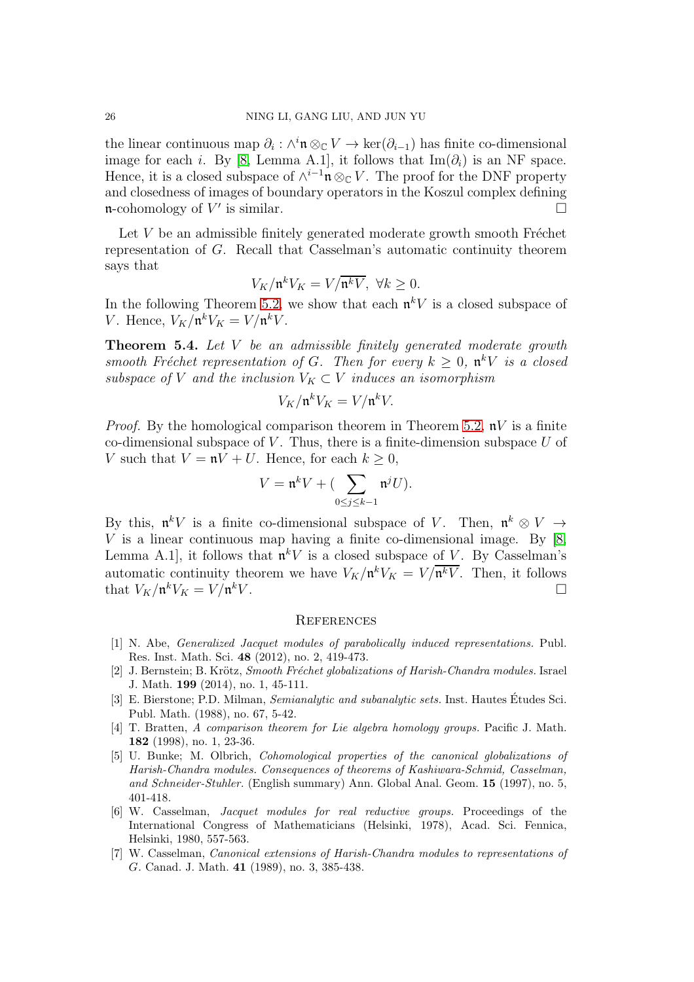the linear continuous map  $\partial_i : \wedge^i \mathfrak{n} \otimes_{\mathbb{C}} V \to \ker(\partial_{i-1})$  has finite co-dimensional image for each i. By [\[8,](#page-26-8) Lemma A.1], it follows that  $\text{Im}(\partial_i)$  is an NF space. Hence, it is a closed subspace of  $\wedge^{i-1} \mathfrak{n} \otimes_{\mathbb{C}} V$ . The proof for the DNF property and closedness of images of boundary operators in the Koszul complex defining **n**-cohomology of  $V'$  is similar.

Let  $V$  be an admissible finitely generated moderate growth smooth Fréchet representation of G. Recall that Casselman's automatic continuity theorem says that

$$
V_K/\mathfrak{n}^k V_K = V/\overline{\mathfrak{n}^k V}, \ \forall k \ge 0.
$$

In the following Theorem [5.2,](#page-23-2) we show that each  $\mathfrak{n}^k V$  is a closed subspace of *V*. Hence,  $V_K/\mathfrak{n}^k V_K = V/\mathfrak{n}^k V$ .

Theorem 5.4. Let V be an admissible finitely generated moderate growth smooth Fréchet representation of G. Then for every  $k \geq 0$ ,  $\mathfrak{n}^k V$  is a closed subspace of V and the inclusion  $V_K \subset V$  induces an isomorphism

$$
V_K/\mathfrak{n}^k V_K = V/\mathfrak{n}^k V.
$$

*Proof.* By the homological comparison theorem in Theorem [5.2,](#page-23-2)  $\mathbf{n}V$  is a finite co-dimensional subspace of  $V$ . Thus, there is a finite-dimension subspace  $U$  of V such that  $V = nV + U$ . Hence, for each  $k \geq 0$ ,

$$
V = \mathfrak{n}^k V + (\sum_{0 \le j \le k-1} \mathfrak{n}^j U).
$$

By this,  $\mathfrak{n}^k V$  is a finite co-dimensional subspace of V. Then,  $\mathfrak{n}^k \otimes V \to$  $V$  is a linear continuous map having a finite co-dimensional image. By [\[8,](#page-26-8) Lemma A.1, it follows that  $\mathfrak{n}^k V$  is a closed subspace of V. By Casselman's automatic continuity theorem we have  $V_K/\mathfrak{n}^k V_K = V/\mathfrak{n}^k V$ . Then, it follows that  $V_K/\mathfrak{n}^k V_K = V/\mathfrak{n}$  $kV$ .

# <span id="page-25-1"></span>**REFERENCES**

- <span id="page-25-6"></span>[1] N. Abe, Generalized Jacquet modules of parabolically induced representations. Publ. Res. Inst. Math. Sci. 48 (2012), no. 2, 419-473.
- <span id="page-25-2"></span>[2] J. Bernstein; B. Krötz, Smooth Fréchet globalizations of Harish-Chandra modules. Israel J. Math. 199 (2014), no. 1, 45-111.
- <span id="page-25-5"></span>[3] E. Bierstone; P.D. Milman, *Semianalytic and subanalytic sets*. Inst. Hautes Etudes Sci. Publ. Math. (1988), no. 67, 5-42.
- <span id="page-25-4"></span>[4] T. Bratten, A comparison theorem for Lie algebra homology groups. Pacific J. Math. 182 (1998), no. 1, 23-36.
- <span id="page-25-3"></span>[5] U. Bunke; M. Olbrich, Cohomological properties of the canonical globalizations of Harish-Chandra modules. Consequences of theorems of Kashiwara-Schmid, Casselman, and Schneider-Stuhler. (English summary) Ann. Global Anal. Geom. 15 (1997), no. 5, 401-418.
- <span id="page-25-7"></span>[6] W. Casselman, Jacquet modules for real reductive groups. Proceedings of the International Congress of Mathematicians (Helsinki, 1978), Acad. Sci. Fennica, Helsinki, 1980, 557-563.
- <span id="page-25-0"></span>[7] W. Casselman, Canonical extensions of Harish-Chandra modules to representations of G. Canad. J. Math. 41 (1989), no. 3, 385-438.